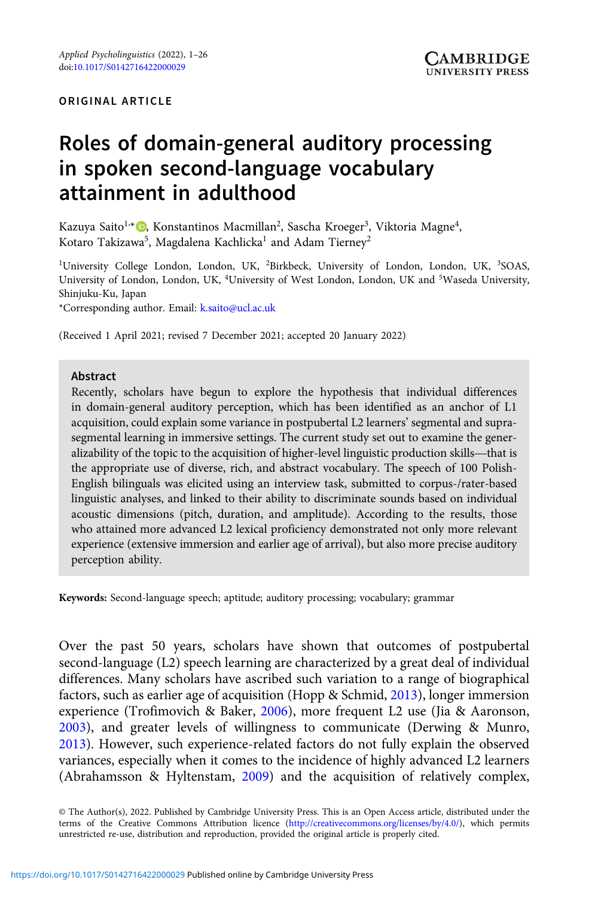# Roles of domain-general auditory processing in spoken second-language vocabulary attainment in adulthood

Kazuya Saito<sup>1,</sup>\* (D), Konstantinos Macmillan<sup>2</sup>, Sascha Kroeger<sup>3</sup>, Viktoria Magne<sup>4</sup>, Kotaro Takizawa $^5$ , Magdalena Kachlicka $^1$  and Adam Tierney $^2$ 

<sup>1</sup>University College London, London, UK, <sup>2</sup>Birkbeck, University of London, London, UK, <sup>3</sup>SOAS, University of London, London, UK, <sup>4</sup>University of West London, London, UK and <sup>5</sup>Waseda University, Shinjuku-Ku, Japan

\*Corresponding author. Email: [k.saito@ucl.ac.uk](mailto:k.saito@ucl.ac.uk)

(Received 1 April 2021; revised 7 December 2021; accepted 20 January 2022)

#### Abstract

Recently, scholars have begun to explore the hypothesis that individual differences in domain-general auditory perception, which has been identified as an anchor of L1 acquisition, could explain some variance in postpubertal L2 learners' segmental and supra-segmental learning in immersive settings. The cu acquisition, could explain some variance in postpubertal L2 learners' segmental and suprasegmental learning in immersive settings. The current study set out to examine the generthe appropriate use of diverse, rich, and abstract vocabulary. The speech of 100 Polish-English bilinguals was elicited using an interview task, submitted to corpus-/rater-based linguistic analyses, and linked to their ability to discriminate sounds based on individual acoustic dimensions (pitch, duration, and amplitude). According to the results, those who attained more advanced L2 lexical proficiency demonstrated not only more relevant experience (extensive immersion and earlier age of arrival), but also more precise auditory perception ability.

Keywords: Second-language speech; aptitude; auditory processing; vocabulary; grammar

Over the past 50 years, scholars have shown that outcomes of postpubertal second-language (L2) speech learning are characterized by a great deal of individual differences. Many scholars have ascribed such variation to a range of biographical factors, such as earlier age of acquisition (Hopp & Schmid, [2013\)](#page-22-0), longer immersion experience (Trofimovich & Baker, [2006\)](#page-24-0), more frequent L2 use (Jia & Aaronson, [2003](#page-22-0)), and greater levels of willingness to communicate (Derwing & Munro, [2013](#page-21-0)). However, such experience-related factors do not fully explain the observed variances, especially when it comes to the incidence of highly advanced L2 learners (Abrahamsson & Hyltenstam, [2009](#page-20-0)) and the acquisition of relatively complex,

© The Author(s), 2022. Published by Cambridge University Press. This is an Open Access article, distributed under the terms of the Creative Commons Attribution licence ([http://creativecommons.org/licenses/by/4.0/\)](http://creativecommons.org/licenses/by/4.0/), which permits unrestricted re-use, distribution and reproduction, provided the original article is properly cited.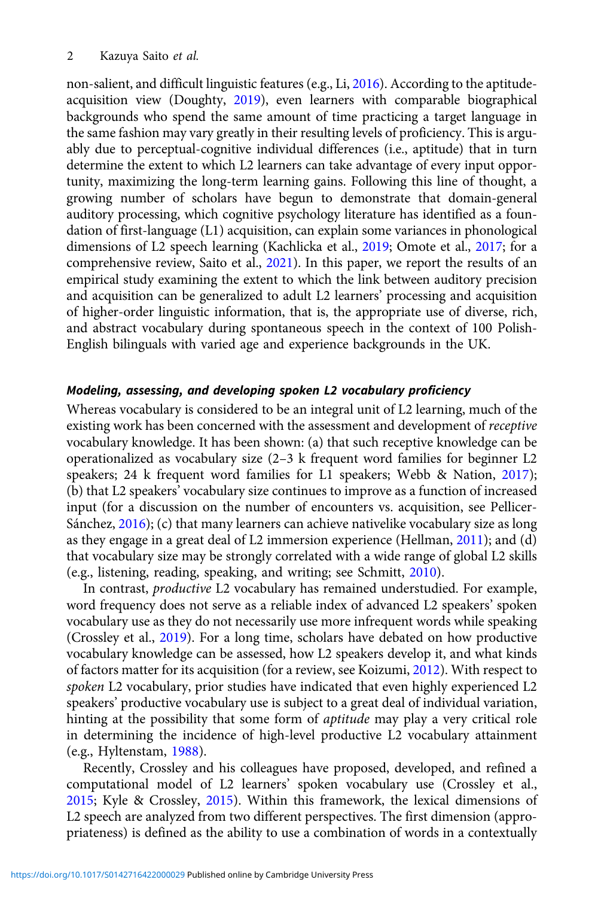non-salient, and difficult linguistic features (e.g., Li, [2016](#page-23-0)). According to the aptitudeacquisition view (Doughty, [2019](#page-21-0)), even learners with comparable biographical backgrounds who spend the same amount of time practicing a target language in the same fashion may vary greatly in their resulting levels of proficiency. This is arguably due to perceptual-cognitive individual differences (i.e., aptitude) that in turn determine the extent to which L2 learners can take advantage of every input opportunity, maximizing the long-term learning gains. Following this line of thought, a growing number of scholars have begun to demonstrate that domain-general auditory processing, which cognitive psychology literature has identified as a foundation of first-language (L1) acquisition, can explain some variances in phonological dimensions of L2 speech learning (Kachlicka et al., [2019](#page-22-0); Omote et al., [2017;](#page-23-0) for a comprehensive review, Saito et al., [2021\)](#page-24-0). In this paper, we report the results of an empirical study examining the extent to which the link between auditory precision and acquisition can be generalized to adult L2 learners' processing and acquisition of higher-order linguistic information, that is, the appropriate use of diverse, rich, and abstract vocabulary during spontaneous speech in the context of 100 Polish-English bilinguals with varied age and experience backgrounds in the UK.

## Modeling, assessing, and developing spoken L2 vocabulary proficiency

Whereas vocabulary is considered to be an integral unit of L2 learning, much of the existing work has been concerned with the assessment and development of receptive vocabulary knowledge. It has been shown: (a) that such receptive knowledge can be operationalized as vocabulary size (2–3 k frequent word families for beginner L2 speakers; 24 k frequent word families for L1 speakers; Webb & Nation, [2017](#page-24-0)); (b) that L2 speakers' vocabulary size continues to improve as a function of increased input (for a discussion on the number of encounters vs. acquisition, see Pellicer-Sánchez, [2016](#page-23-0)); (c) that many learners can achieve nativelike vocabulary size as long as they engage in a great deal of L2 immersion experience (Hellman, [2011](#page-22-0)); and (d) that vocabulary size may be strongly correlated with a wide range of global L2 skills (e.g., listening, reading, speaking, and writing; see Schmitt, [2010](#page-24-0)).

In contrast, productive L2 vocabulary has remained understudied. For example, word frequency does not serve as a reliable index of advanced L2 speakers' spoken vocabulary use as they do not necessarily use more infrequent words while speaking (Crossley et al., [2019\)](#page-21-0). For a long time, scholars have debated on how productive vocabulary knowledge can be assessed, how L2 speakers develop it, and what kinds of factors matter for its acquisition (for a review, see Koizumi, [2012\)](#page-22-0). With respect to spoken L2 vocabulary, prior studies have indicated that even highly experienced L2 speakers' productive vocabulary use is subject to a great deal of individual variation, hinting at the possibility that some form of *aptitude* may play a very critical role in determining the incidence of high-level productive L2 vocabulary attainment (e.g., Hyltenstam, [1988\)](#page-22-0).

Recently, Crossley and his colleagues have proposed, developed, and refined a computational model of L2 learners' spoken vocabulary use (Crossley et al., [2015;](#page-20-0) Kyle & Crossley, [2015\)](#page-22-0). Within this framework, the lexical dimensions of L2 speech are analyzed from two different perspectives. The first dimension (appropriateness) is defined as the ability to use a combination of words in a contextually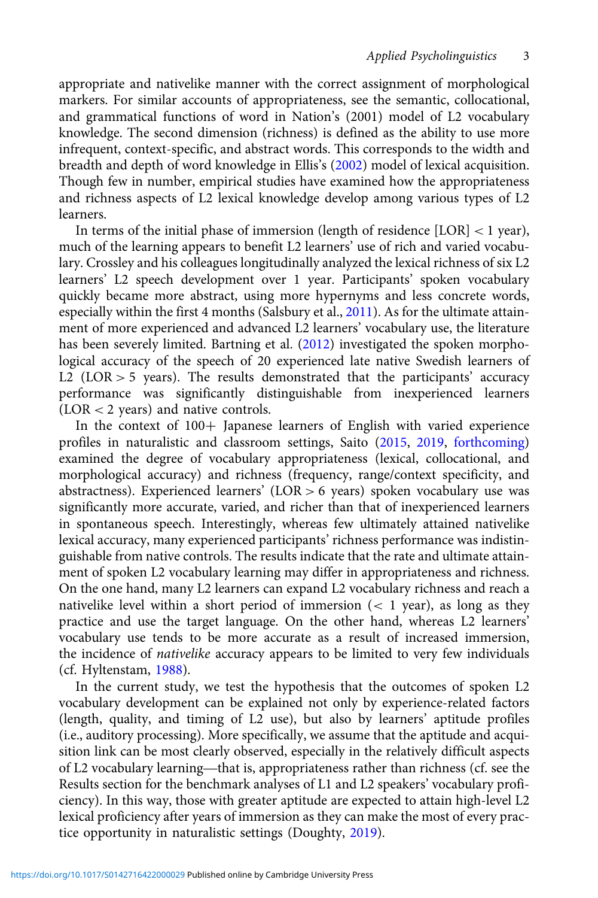appropriate and nativelike manner with the correct assignment of morphological markers. For similar accounts of appropriateness, see the semantic, collocational, and grammatical functions of word in Nation's (2001) model of L2 vocabulary knowledge. The second dimension (richness) is defined as the ability to use more infrequent, context-specific, and abstract words. This corresponds to the width and breadth and depth of word knowledge in Ellis's [\(2002\)](#page-21-0) model of lexical acquisition. Though few in number, empirical studies have examined how the appropriateness and richness aspects of L2 lexical knowledge develop among various types of L2 learners.

In terms of the initial phase of immersion (length of residence [LOR] < 1 year), much of the learning appears to benefit L2 learners' use of rich and varied vocabulary. Crossley and his colleagues longitudinally analyzed the lexical richness of six L2 learners' L2 speech development over 1 year. Participants' spoken vocabulary quickly became more abstract, using more hypernyms and less concrete words, especially within the first 4 months (Salsbury et al., [2011](#page-24-0)). As for the ultimate attainment of more experienced and advanced L2 learners' vocabulary use, the literature has been severely limited. Bartning et al. ([2012](#page-20-0)) investigated the spoken morphological accuracy of the speech of 20 experienced late native Swedish learners of L2 (LOR  $>$  5 years). The results demonstrated that the participants' accuracy performance was significantly distinguishable from inexperienced learners (LOR < 2 years) and native controls.

In the context of 100+ Japanese learners of English with varied experience profiles in naturalistic and classroom settings, Saito [\(2015](#page-23-0), [2019,](#page-23-0) [forthcoming\)](#page-23-0) examined the degree of vocabulary appropriateness (lexical, collocational, and morphological accuracy) and richness (frequency, range/context specificity, and abstractness). Experienced learners' (LOR > 6 years) spoken vocabulary use was significantly more accurate, varied, and richer than that of inexperienced learners in spontaneous speech. Interestingly, whereas few ultimately attained nativelike lexical accuracy, many experienced participants' richness performance was indistinguishable from native controls. The results indicate that the rate and ultimate attainment of spoken L2 vocabulary learning may differ in appropriateness and richness. On the one hand, many L2 learners can expand L2 vocabulary richness and reach a nativelike level within a short period of immersion  $(< 1$  year), as long as they practice and use the target language. On the other hand, whereas L2 learners' vocabulary use tends to be more accurate as a result of increased immersion, the incidence of nativelike accuracy appears to be limited to very few individuals (cf. Hyltenstam, [1988\)](#page-22-0).

In the current study, we test the hypothesis that the outcomes of spoken L2 vocabulary development can be explained not only by experience-related factors Vocabulary development can be explained not only by experience-related ractors<br>(length, quality, and timing of L2 use), but also by learners' aptitude profiles<br>(i.e., auditory processing). More specifically, we assume that (i.e., auditory processing). More specifically, we assume that the aptitude and acquisition link can be most clearly observed, especially in the relatively difficult aspects Results section for the benchmark analyses of L1 and L2 speakers' vocabulary proficiency). In this way, those with greater aptitude are expected to attain high-level L2 lexical proficiency after years of immersion as they can make the most of every practice opportunity in naturalistic settings (Doughty, [2019](#page-21-0)).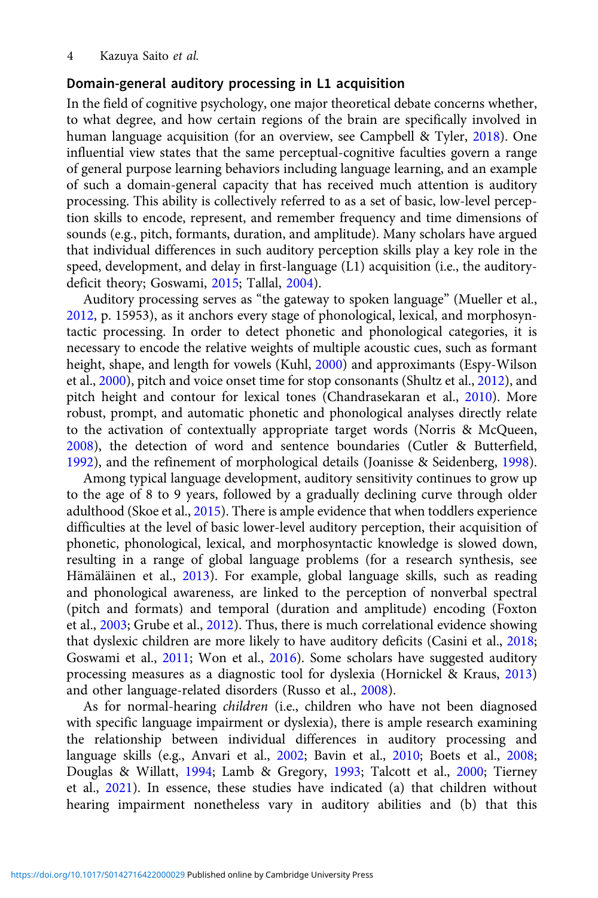## Domain-general auditory processing in L1 acquisition

In the field of cognitive psychology, one major theoretical debate concerns whether, to what degree, and how certain regions of the brain are specifically involved in human language acquisition (for an overview, see Campbell & Tyler, [2018](#page-20-0)). One influential view states that the same perceptual-cognitive faculties govern a range of general purpose learning behaviors including language learning, and an example of such a domain-general capacity that has received much attention is auditory processing. This ability is collectively referred to as a set of basic, low-level perception skills to encode, represent, and remember frequency and time dimensions of sounds (e.g., pitch, formants, duration, and amplitude). Many scholars have argued that individual differences in such auditory perception skills play a key role in the speed, development, and delay in first-language (L1) acquisition (i.e., the auditorydeficit theory; Goswami, [2015;](#page-21-0) Tallal, [2004](#page-24-0)).

Auditory processing serves as "the gateway to spoken language" (Mueller et al., [2012,](#page-23-0) p. 15953), as it anchors every stage of phonological, lexical, and morphosyntactic processing. In order to detect phonetic and phonological categories, it is necessary to encode the relative weights of multiple acoustic cues, such as formant height, shape, and length for vowels (Kuhl, [2000](#page-22-0)) and approximants (Espy-Wilson et al., [2000](#page-21-0)), pitch and voice onset time for stop consonants (Shultz et al., [2012\)](#page-24-0), and pitch height and contour for lexical tones (Chandrasekaran et al., [2010\)](#page-20-0). More robust, prompt, and automatic phonetic and phonological analyses directly relate to the activation of contextually appropriate target words (Norris & McQueen, [2008\)](#page-23-0), the detection of word and sentence boundaries (Cutler & Butterfield, [1992\)](#page-21-0), and the refinement of morphological details (Joanisse & Seidenberg, [1998](#page-22-0)).

Among typical language development, auditory sensitivity continues to grow up to the age of 8 to 9 years, followed by a gradually declining curve through older adulthood (Skoe et al., [2015\)](#page-24-0). There is ample evidence that when toddlers experience difficulties at the level of basic lower-level auditory perception, their acquisition of phonetic, phonological, lexical, and morphosyntactic knowledge is slowed down, resulting in a range of global language problems (for a research synthesis, see Hämäläinen et al., [2013](#page-22-0)). For example, global language skills, such as reading and phonological awareness, are linked to the perception of nonverbal spectral (pitch and formats) and temporal (duration and amplitude) encoding (Foxton et al., [2003;](#page-21-0) Grube et al., [2012\)](#page-21-0). Thus, there is much correlational evidence showing that dyslexic children are more likely to have auditory deficits (Casini et al., [2018;](#page-20-0) Goswami et al., [2011;](#page-21-0) Won et al., [2016](#page-25-0)). Some scholars have suggested auditory processing measures as a diagnostic tool for dyslexia (Hornickel & Kraus, [2013](#page-22-0)) and other language-related disorders (Russo et al., [2008](#page-23-0)).

As for normal-hearing children (i.e., children who have not been diagnosed with specific language impairment or dyslexia), there is ample research examining the relationship between individual differences in auditory processing and language skills (e.g., Anvari et al., [2002;](#page-20-0) Bavin et al., [2010](#page-20-0); Boets et al., [2008;](#page-20-0) Douglas & Willatt, [1994](#page-21-0); Lamb & Gregory, [1993;](#page-23-0) Talcott et al., [2000](#page-24-0); Tierney et al., [2021\)](#page-24-0). In essence, these studies have indicated (a) that children without hearing impairment nonetheless vary in auditory abilities and (b) that this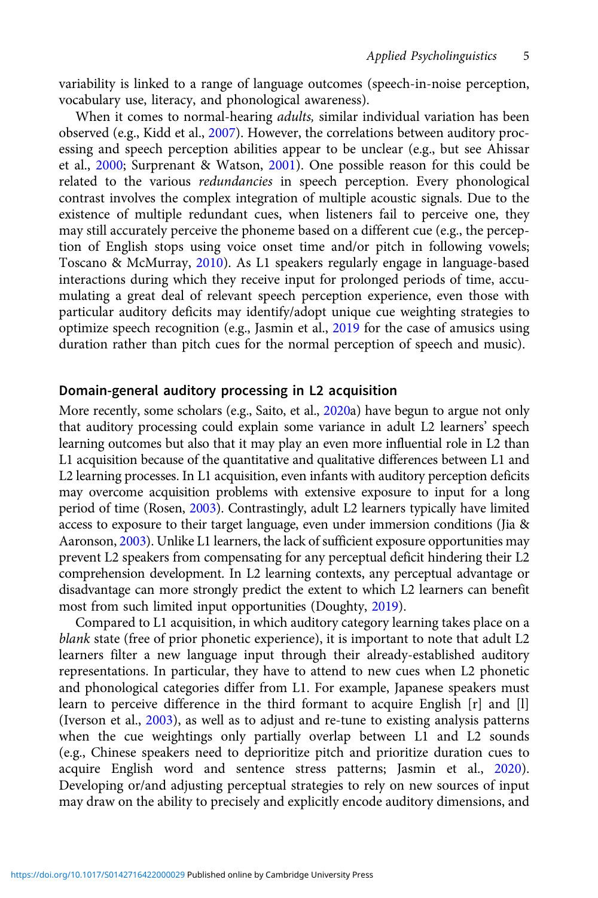variability is linked to a range of language outcomes (speech-in-noise perception, vocabulary use, literacy, and phonological awareness).

When it comes to normal-hearing *adults*, similar individual variation has been observed (e.g., Kidd et al., [2007](#page-22-0)). However, the correlations between auditory processing and speech perception abilities appear to be unclear (e.g., but see Ahissar et al., [2000;](#page-20-0) Surprenant & Watson, [2001\)](#page-24-0). One possible reason for this could be related to the various redundancies in speech perception. Every phonological contrast involves the complex integration of multiple acoustic signals. Due to the existence of multiple redundant cues, when listeners fail to perceive one, they may still accurately perceive the phoneme based on a different cue (e.g., the perception of English stops using voice onset time and/or pitch in following vowels; Toscano & McMurray, [2010](#page-24-0)). As L1 speakers regularly engage in language-based interactions during which they receive input for prolonged periods of time, accumulating a great deal of relevant speech perception experience, even those with particular auditory deficits may identify/adopt unique cue weighting strategies to optimize speech recognition (e.g., Jasmin et al., [2019](#page-22-0) for the case of amusics using duration rather than pitch cues for the normal perception of speech and music).

# Domain-general auditory processing in L2 acquisition

More recently, some scholars (e.g., Saito, et al., [2020a](#page-24-0)) have begun to argue not only that auditory processing could explain some variance in adult L2 learners' speech learning outcomes but also that it may play an even more influential role in L2 than L1 acquisition because of the quantitative and qualitative differences between L1 and L2 learning processes. In L1 acquisition, even infants with auditory perception deficits may overcome acquisition problems with extensive exposure to input for a long period of time (Rosen, [2003](#page-23-0)). Contrastingly, adult L2 learners typically have limited access to exposure to their target language, even under immersion conditions (Jia & Aaronson, [2003\)](#page-22-0). Unlike L1 learners, the lack of sufficient exposure opportunities may prevent L2 speakers from compensating for any perceptual deficit hindering their L2 comprehension development. In L2 learning contexts, any perceptual advantage or disadvantage can more strongly predict the extent to which L2 learners can benefit most from such limited input opportunities (Doughty, [2019\)](#page-21-0).

Compared to L1 acquisition, in which auditory category learning takes place on a blank state (free of prior phonetic experience), it is important to note that adult L2 learners filter a new language input through their already-established auditory representations. In particular, they have to attend to new cues when L2 phonetic and phonological categories differ from L1. For example, Japanese speakers must learn to perceive difference in the third formant to acquire English [r] and [l] (Iverson et al., [2003\)](#page-22-0), as well as to adjust and re-tune to existing analysis patterns when the cue weightings only partially overlap between L1 and L2 sounds (e.g., Chinese speakers need to deprioritize pitch and prioritize duration cues to acquire English word and sentence stress patterns; Jasmin et al., [2020\)](#page-22-0). Developing or/and adjusting perceptual strategies to rely on new sources of input may draw on the ability to precisely and explicitly encode auditory dimensions, and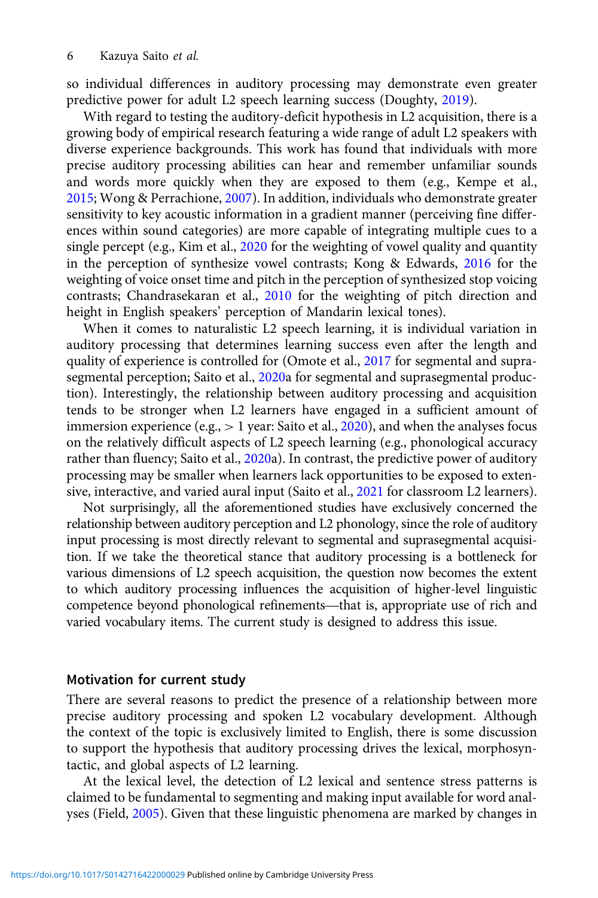so individual differences in auditory processing may demonstrate even greater predictive power for adult L2 speech learning success (Doughty, [2019\)](#page-21-0).

With regard to testing the auditory-deficit hypothesis in L2 acquisition, there is a growing body of empirical research featuring a wide range of adult L2 speakers with diverse experience backgrounds. This work has found that individuals with more precise auditory processing abilities can hear and remember unfamiliar sounds and words more quickly when they are exposed to them (e.g., Kempe et al., [2015;](#page-22-0) Wong & Perrachione, [2007](#page-25-0)). In addition, individuals who demonstrate greater sensitivity to key acoustic information in a gradient manner (perceiving fine differences within sound categories) are more capable of integrating multiple cues to a single percept (e.g., Kim et al., [2020](#page-22-0) for the weighting of vowel quality and quantity in the perception of synthesize vowel contrasts; Kong & Edwards, [2016](#page-22-0) for the weighting of voice onset time and pitch in the perception of synthesized stop voicing contrasts; Chandrasekaran et al., [2010](#page-20-0) for the weighting of pitch direction and height in English speakers' perception of Mandarin lexical tones).

When it comes to naturalistic L2 speech learning, it is individual variation in auditory processing that determines learning success even after the length and quality of experience is controlled for (Omote et al., [2017](#page-23-0) for segmental and supra-segmental perception; Saito et al., [2020](#page-24-0)a for segmental and suprasegmental production). Interestingly, the relationship between auditory processing and acquisition tends to be stronger when L2 learners have engaged in a sufficient amount of immersion experience (e.g.,  $> 1$  year: Saito et al., [2020\)](#page-24-0), and when the analyses focus on the relatively difficult aspects of L2 speech learning (e.g., phonological accuracy rather than fluency; Saito et al., [2020a](#page-24-0)). In contrast, the predictive power of auditory processing may be smaller when learners lack opportunities to be exposed to extensive, interactive, and varied aural input (Saito et al., [2021](#page-24-0) for classroom L2 learners).

Not surprisingly, all the aforementioned studies have exclusively concerned the relationship between auditory perception and L2 phonology, since the role of auditory input processing is most directly relevant to segmental and suprasegmental acquisition. If we take the theoretical stance that auditory processing is a bottleneck for various dimensions of L2 speech acquisition, the question now becomes the extent to which auditory processing influences the acquisition of higher-level linguistic input processing is most airectly relevant to segmental and suprasegmental acquisi-<br>tion. If we take the theoretical stance that auditory processing is a bottleneck for<br>various dimensions of L2 speech acquisition, the ques varied vocabulary items. The current study is designed to address this issue.

### Motivation for current study

There are several reasons to predict the presence of a relationship between more precise auditory processing and spoken L2 vocabulary development. Although the context of the topic is exclusively limited to English, there is some discussion to support the hypothesis that auditory processing drives the lexical, morphosyntactic, and global aspects of L2 learning.

At the lexical level, the detection of L2 lexical and sentence stress patterns is claimed to be fundamental to segmenting and making input available for word analyses (Field, [2005](#page-21-0)). Given that these linguistic phenomena are marked by changes in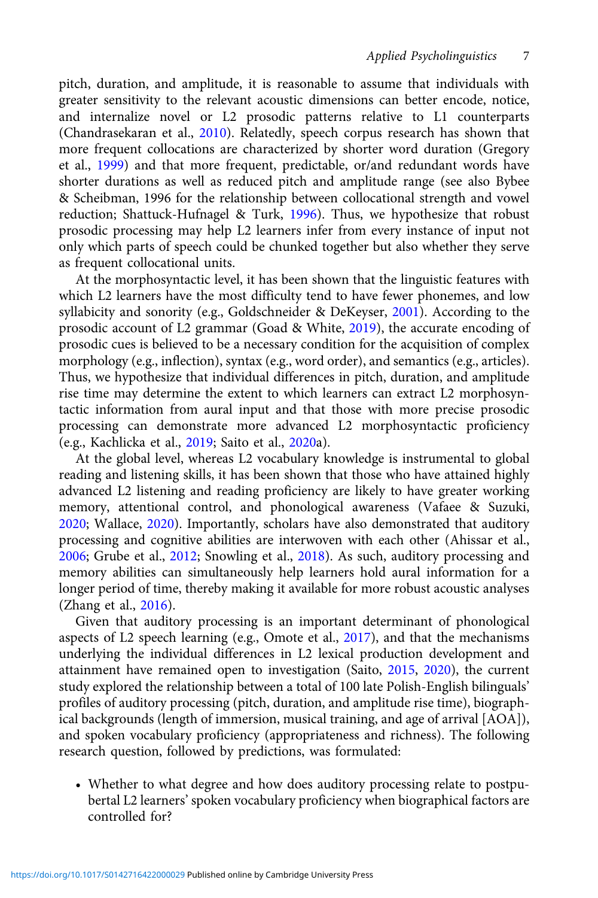pitch, duration, and amplitude, it is reasonable to assume that individuals with greater sensitivity to the relevant acoustic dimensions can better encode, notice, and internalize novel or L2 prosodic patterns relative to L1 counterparts (Chandrasekaran et al., [2010\)](#page-20-0). Relatedly, speech corpus research has shown that more frequent collocations are characterized by shorter word duration (Gregory et al., [1999\)](#page-21-0) and that more frequent, predictable, or/and redundant words have shorter durations as well as reduced pitch and amplitude range (see also Bybee & Scheibman, 1996 for the relationship between collocational strength and vowel reduction; Shattuck-Hufnagel & Turk, [1996\)](#page-24-0). Thus, we hypothesize that robust prosodic processing may help L2 learners infer from every instance of input not only which parts of speech could be chunked together but also whether they serve as frequent collocational units.

At the morphosyntactic level, it has been shown that the linguistic features with which L2 learners have the most difficulty tend to have fewer phonemes, and low syllabicity and sonority (e.g., Goldschneider & DeKeyser, [2001\)](#page-21-0). According to the prosodic account of L2 grammar (Goad & White, [2019\)](#page-21-0), the accurate encoding of prosodic cues is believed to be a necessary condition for the acquisition of complex morphology (e.g., inflection), syntax (e.g., word order), and semantics (e.g., articles). Thus, we hypothesize that individual differences in pitch, duration, and amplitude rise time may determine the extent to which learners can extract L2 morphosyntactic information from aural input and that those with more precise prosodic processing can demonstrate more advanced L2 morphosyntactic proficiency (e.g., Kachlicka et al., [2019;](#page-22-0) Saito et al., [2020](#page-24-0)a).

At the global level, whereas L2 vocabulary knowledge is instrumental to global reading and listening skills, it has been shown that those who have attained highly advanced L2 listening and reading proficiency are likely to have greater working memory, attentional control, and phonological awareness (Vafaee & Suzuki, [2020](#page-24-0); Wallace, [2020\)](#page-24-0). Importantly, scholars have also demonstrated that auditory processing and cognitive abilities are interwoven with each other (Ahissar et al., [2006](#page-20-0); Grube et al., [2012](#page-21-0); Snowling et al., [2018\)](#page-24-0). As such, auditory processing and memory abilities can simultaneously help learners hold aural information for a longer period of time, thereby making it available for more robust acoustic analyses (Zhang et al., [2016](#page-25-0)).

Given that auditory processing is an important determinant of phonological aspects of L2 speech learning (e.g., Omote et al., [2017\)](#page-23-0), and that the mechanisms underlying the individual differences in L2 lexical production development and attainment have remained open to investigation (Saito, [2015,](#page-23-0) [2020\)](#page-23-0), the current study explored the relationship between a total of 100 late Polish-English bilinguals' profiles of auditory processing (pitch, duration, and amplitude rise time), biographical backgrounds (length of immersion, musical training, and age of arrival [AOA]), and spoken vocabulary proficiency (appropriateness and richness). The following research question, followed by predictions, was formulated:

• Whether to what degree and how does auditory processing relate to postpubertal L2 learners' spoken vocabulary proficiency when biographical factors are controlled for?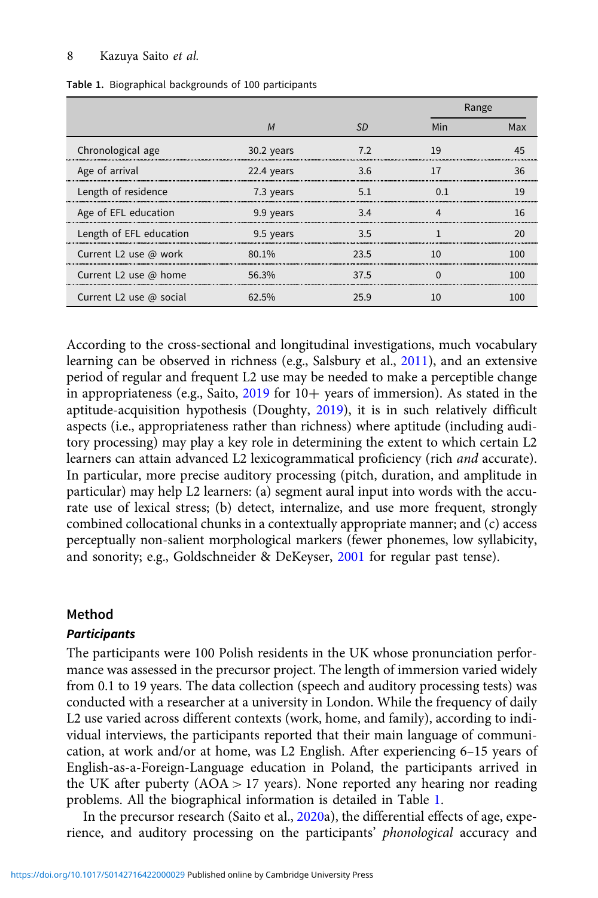#### 8 Kazuya Saito et al.

|                                |            |      |         | Range |  |  |
|--------------------------------|------------|------|---------|-------|--|--|
|                                | M          | SD   | Min     | Max   |  |  |
| Chronological age              | 30.2 years |      | 1 Q<br> |       |  |  |
| Age of arrival                 | 22.4 years | 3.6  |         |       |  |  |
| Length of residence            | 7.3 years  | 51   |         | ١q    |  |  |
| Age of EFL education           | 9.9 years  | 3.4  |         |       |  |  |
| Length of EFL education        | 9.5 years  | २ ५  |         |       |  |  |
| Current L2 use @ work          | 80.1%      | つろ ヒ |         |       |  |  |
| Current L2 use @ home          | 56.3%      | 37.5 |         |       |  |  |
| Current L2 use $\omega$ social | 62.5%      |      |         |       |  |  |

Table 1. Biographical backgrounds of 100 participants

According to the cross-sectional and longitudinal investigations, much vocabulary learning can be observed in richness (e.g., Salsbury et al., [2011](#page-24-0)), and an extensive period of regular and frequent L2 use may be needed to make a perceptible change in appropriateness (e.g., Saito,  $2019$  for  $10+$  years of immersion). As stated in the aptitude-acquisition hypothesis (Doughty, [2019](#page-21-0)), it is in such relatively difficult aspects (i.e., appropriateness rather than richness) where aptitude (including auditory processing) may play a key role in determining the extent to which certain L2 learners can attain advanced L2 lexicogrammatical proficiency (rich and accurate). In particular, more precise auditory processing (pitch, duration, and amplitude in particular) may help L2 learners: (a) segment aural input into words with the accurate use of lexical stress; (b) detect, internalize, and use more frequent, strongly combined collocational chunks in a contextually appropriate manner; and (c) access perceptually non-salient morphological markers (fewer phonemes, low syllabicity, and sonority; e.g., Goldschneider & DeKeyser, [2001](#page-21-0) for regular past tense).

## Method

## **Participants**

The participants were 100 Polish residents in the UK whose pronunciation performance was assessed in the precursor project. The length of immersion varied widely from 0.1 to 19 years. The data collection (speech and auditory processing tests) was conducted with a researcher at a university in London. While the frequency of daily L2 use varied across different contexts (work, home, and family), according to individual interviews, the participants reported that their main language of communication, at work and/or at home, was L2 English. After experiencing 6–15 years of English-as-a-Foreign-Language education in Poland, the participants arrived in the UK after puberty (AOA > 17 years). None reported any hearing nor reading problems. All the biographical information is detailed in Table 1.

In the precursor research (Saito et al., [2020](#page-24-0)a), the differential effects of age, experience, and auditory processing on the participants' phonological accuracy and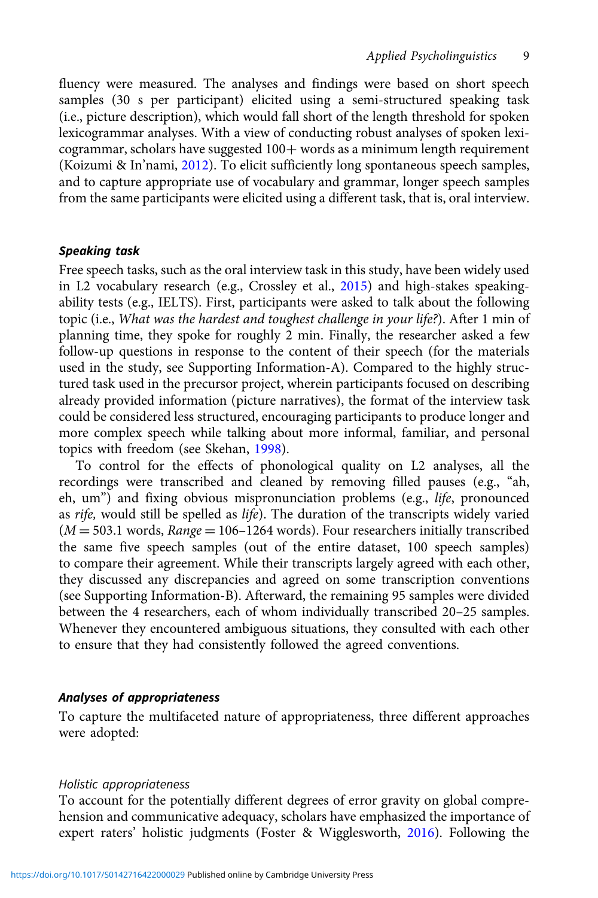fluency were measured. The analyses and findings were based on short speech samples (30 s per participant) elicited using a semi-structured speaking task (i.e., picture description), which would fall short of the length threshold for spoken lexicogrammar analyses. With a view of conducting robust analyses of spoken lexicogrammar, scholars have suggested  $100+$  words as a minimum length requirement (Koizumi & In'nami, [2012\)](#page-22-0). To elicit sufficiently long spontaneous speech samples, and to capture appropriate use of vocabulary and grammar, longer speech samples from the same participants were elicited using a different task, that is, oral interview.

#### Speaking task

Free speech tasks, such as the oral interview task in this study, have been widely used in L2 vocabulary research (e.g., Crossley et al., [2015](#page-20-0)) and high-stakes speakingability tests (e.g., IELTS). First, participants were asked to talk about the following topic (i.e., What was the hardest and toughest challenge in your life?). After 1 min of planning time, they spoke for roughly 2 min. Finally, the researcher asked a few follow-up questions in response to the content of their speech (for the materials used in the study, see Supporting Information-A). Compared to the highly structured task used in the precursor project, wherein participants focused on describing already provided information (picture narratives), the format of the interview task could be considered less structured, encouraging participants to produce longer and more complex speech while talking about more informal, familiar, and personal topics with freedom (see Skehan, [1998](#page-24-0)).

To control for the effects of phonological quality on L2 analyses, all the recordings were transcribed and cleaned by removing filled pauses (e.g., "ah, eh, um") and fixing obvious mispronunciation problems (e.g., life, pronounced as rife, would still be spelled as life). The duration of the transcripts widely varied  $(M = 503.1$  words,  $Range = 106 - 1264$  words). Four researchers initially transcribed the same five speech samples (out of the entire dataset, 100 speech samples) to compare their agreement. While their transcripts largely agreed with each other, they discussed any discrepancies and agreed on some transcription conventions (see Supporting Information-B). Afterward, the remaining 95 samples were divided between the 4 researchers, each of whom individually transcribed 20–25 samples. Whenever they encountered ambiguous situations, they consulted with each other to ensure that they had consistently followed the agreed conventions.

#### Analyses of appropriateness

To capture the multifaceted nature of appropriateness, three different approaches were adopted:

#### Holistic appropriateness

To account for the potentially different degrees of error gravity on global comprehension and communicative adequacy, scholars have emphasized the importance of expert raters' holistic judgments (Foster & Wigglesworth, [2016\)](#page-21-0). Following the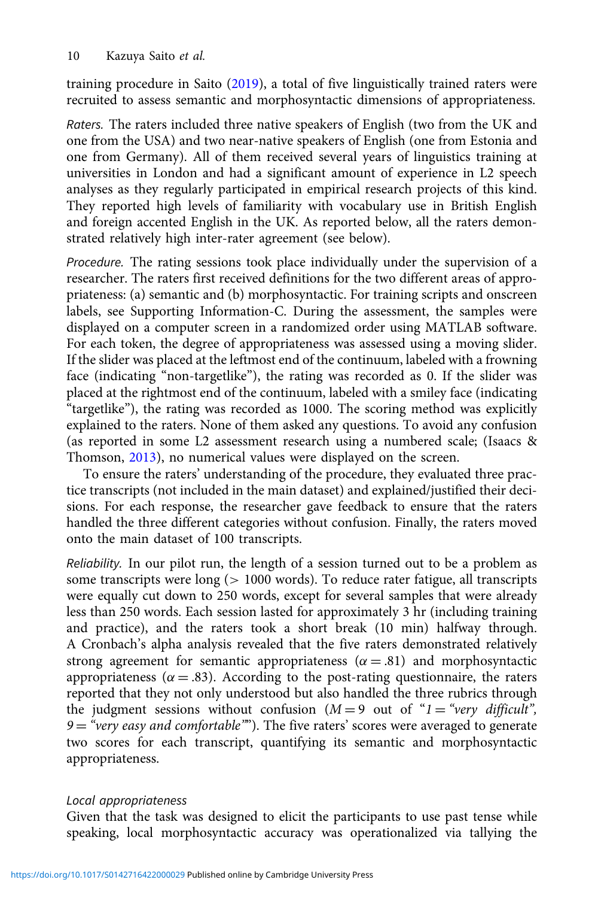training procedure in Saito [\(2019\)](#page-23-0), a total of five linguistically trained raters were recruited to assess semantic and morphosyntactic dimensions of appropriateness.

Raters. The raters included three native speakers of English (two from the UK and one from the USA) and two near-native speakers of English (one from Estonia and one from Germany). All of them received several years of linguistics training at universities in London and had a significant amount of experience in L2 speech analyses as they regularly participated in empirical research projects of this kind. They reported high levels of familiarity with vocabulary use in British English and foreign accented English in the UK. As reported below, all the raters demonstrated relatively high inter-rater agreement (see below).

Procedure. The rating sessions took place individually under the supervision of a researcher. The raters first received definitions for the two different areas of appropriateness: (a) semantic and (b) morphosyntactic. For training scripts and onscreen labels, see Supporting Information-C. During the assessment, the samples were displayed on a computer screen in a randomized order using MATLAB software. For each token, the degree of appropriateness was assessed using a moving slider. If the slider was placed at the leftmost end of the continuum, labeled with a frowning face (indicating "non-targetlike"), the rating was recorded as 0. If the slider was placed at the rightmost end of the continuum, labeled with a smiley face (indicating "targetlike"), the rating was recorded as 1000. The scoring method was explicitly explained to the raters. None of them asked any questions. To avoid any confusion (as reported in some L2 assessment research using a numbered scale; (Isaacs & Thomson, [2013\)](#page-22-0), no numerical values were displayed on the screen.

To ensure the raters' understanding of the procedure, they evaluated three practice transcripts (not included in the main dataset) and explained/justified their decisions. For each response, the researcher gave feedback to ensure that the raters handled the three different categories without confusion. Finally, the raters moved onto the main dataset of 100 transcripts.

Reliability. In our pilot run, the length of a session turned out to be a problem as some transcripts were long (> 1000 words). To reduce rater fatigue, all transcripts were equally cut down to 250 words, except for several samples that were already less than 250 words. Each session lasted for approximately 3 hr (including training and practice), and the raters took a short break (10 min) halfway through. A Cronbach's alpha analysis revealed that the five raters demonstrated relatively strong agreement for semantic appropriateness ( $\alpha = .81$ ) and morphosyntactic appropriateness ( $\alpha = .83$ ). According to the post-rating questionnaire, the raters reported that they not only understood but also handled the three rubrics through the judgment sessions without confusion  $(M = 9$  out of " $1 =$  "very difficult",  $9 =$  "very easy and comfortable""). The five raters' scores were averaged to generate two scores for each transcript, quantifying its semantic and morphosyntactic appropriateness.

#### Local appropriateness

Given that the task was designed to elicit the participants to use past tense while speaking, local morphosyntactic accuracy was operationalized via tallying the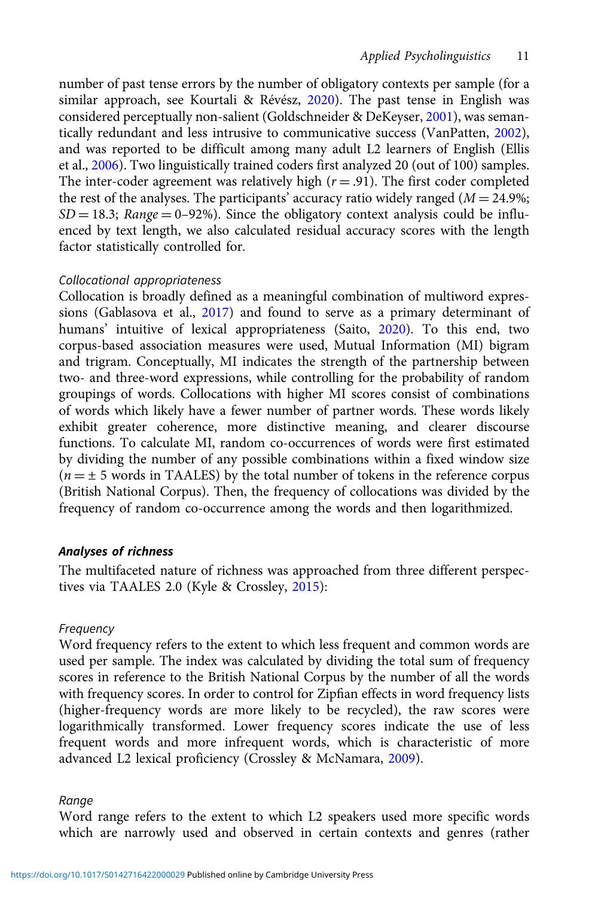number of past tense errors by the number of obligatory contexts per sample (for a similar approach, see Kourtali & Révész, [2020\)](#page-22-0). The past tense in English was considered perceptually non-salient (Goldschneider & DeKeyser, [2001](#page-21-0)), was semantically redundant and less intrusive to communicative success (VanPatten, [2002\)](#page-24-0), and was reported to be difficult among many adult L2 learners of English (Ellis et al., [2006\)](#page-21-0). Two linguistically trained coders first analyzed 20 (out of 100) samples. The inter-coder agreement was relatively high ( $r = .91$ ). The first coder completed the rest of the analyses. The participants' accuracy ratio widely ranged ( $M = 24.9\%$ ;  $SD = 18.3$ ; Range = 0–92%). Since the obligatory context analysis could be influenced by text length, we also calculated residual accuracy scores with the length factor statistically controlled for.

## Collocational appropriateness

Collocation is broadly defined as a meaningful combination of multiword expressions (Gablasova et al., [2017](#page-21-0)) and found to serve as a primary determinant of humans' intuitive of lexical appropriateness (Saito, [2020](#page-23-0)). To this end, two corpus-based association measures were used, Mutual Information (MI) bigram and trigram. Conceptually, MI indicates the strength of the partnership between two- and three-word expressions, while controlling for the probability of random groupings of words. Collocations with higher MI scores consist of combinations of words which likely have a fewer number of partner words. These words likely exhibit greater coherence, more distinctive meaning, and clearer discourse functions. To calculate MI, random co-occurrences of words were first estimated by dividing the number of any possible combinations within a fixed window size  $(n = \pm 5$  words in TAALES) by the total number of tokens in the reference corpus (British National Corpus). Then, the frequency of collocations was divided by the frequency of random co-occurrence among the words and then logarithmized.

## Analyses of richness

The multifaceted nature of richness was approached from three different perspectives via TAALES 2.0 (Kyle & Crossley, [2015\)](#page-22-0):

## Frequency

Word frequency refers to the extent to which less frequent and common words are used per sample. The index was calculated by dividing the total sum of frequency scores in reference to the British National Corpus by the number of all the words with frequency scores. In order to control for Zipfian effects in word frequency lists (higher-frequency words are more likely to be recycled), the raw scores were logarithmically transformed. Lower frequency scores indicate the use of less frequent words and more infrequent words, which is characteristic of more advanced L2 lexical proficiency (Crossley & McNamara, [2009](#page-20-0)).

#### Range

Word range refers to the extent to which L2 speakers used more specific words which are narrowly used and observed in certain contexts and genres (rather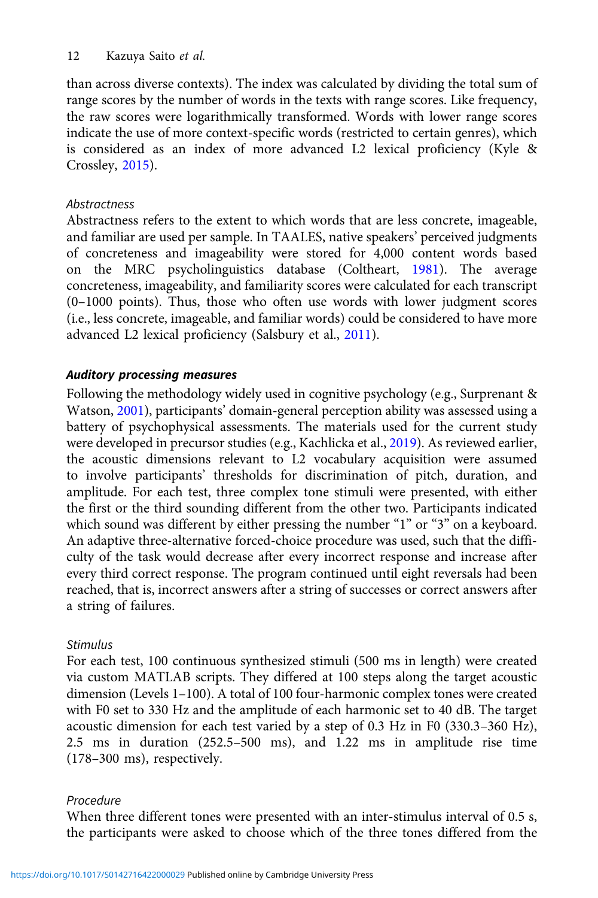than across diverse contexts). The index was calculated by dividing the total sum of range scores by the number of words in the texts with range scores. Like frequency, the raw scores were logarithmically transformed. Words with lower range scores indicate the use of more context-specific words (restricted to certain genres), which is considered as an index of more advanced L2 lexical proficiency (Kyle & Crossley, [2015\)](#page-22-0).

# **Abstractness**

Abstractness refers to the extent to which words that are less concrete, imageable, and familiar are used per sample. In TAALES, native speakers' perceived judgments of concreteness and imageability were stored for 4,000 content words based on the MRC psycholinguistics database (Coltheart, [1981](#page-20-0)). The average concreteness, imageability, and familiarity scores were calculated for each transcript (0–1000 points). Thus, those who often use words with lower judgment scores (i.e., less concrete, imageable, and familiar words) could be considered to have more advanced L2 lexical proficiency (Salsbury et al., [2011](#page-24-0)).

# Auditory processing measures

Following the methodology widely used in cognitive psychology (e.g., Surprenant & Watson, [2001](#page-24-0)), participants' domain-general perception ability was assessed using a battery of psychophysical assessments. The materials used for the current study were developed in precursor studies (e.g., Kachlicka et al., [2019\)](#page-22-0). As reviewed earlier, the acoustic dimensions relevant to L2 vocabulary acquisition were assumed to involve participants' thresholds for discrimination of pitch, duration, and amplitude. For each test, three complex tone stimuli were presented, with either the first or the third sounding different from the other two. Participants indicated which sound was different by either pressing the number "1" or "3" on a keyboard. An adaptive three-alternative forced-choice procedure was used, such that the difficulty of the task would decrease after every incorrect response and increase after every third correct response. The program continued until eight reversals had been reached, that is, incorrect answers after a string of successes or correct answers after a string of failures.

# Stimulus

For each test, 100 continuous synthesized stimuli (500 ms in length) were created via custom MATLAB scripts. They differed at 100 steps along the target acoustic dimension (Levels 1–100). A total of 100 four-harmonic complex tones were created with F0 set to 330 Hz and the amplitude of each harmonic set to 40 dB. The target acoustic dimension for each test varied by a step of 0.3 Hz in F0 (330.3–360 Hz), 2.5 ms in duration (252.5–500 ms), and 1.22 ms in amplitude rise time (178–300 ms), respectively.

# Procedure

When three different tones were presented with an inter-stimulus interval of 0.5 s, the participants were asked to choose which of the three tones differed from the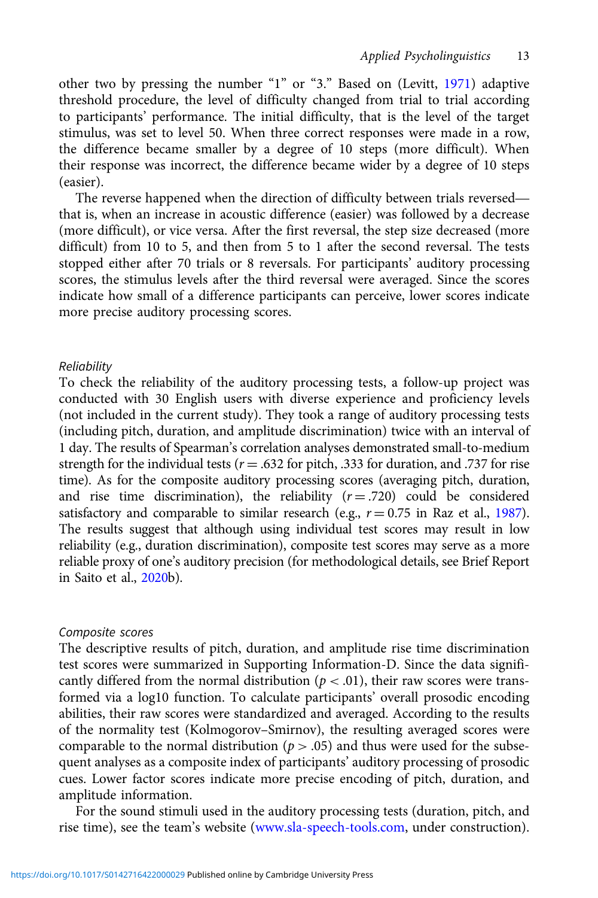other two by pressing the number "1" or "3." Based on (Levitt, [1971](#page-23-0)) adaptive threshold procedure, the level of difficulty changed from trial to trial according to participants' performance. The initial difficulty, that is the level of the target stimulus, was set to level 50. When three correct responses were made in a row, the difference became smaller by a degree of 10 steps (more difficult). When their response was incorrect, the difference became wider by a degree of 10 steps (easier). The reverse happened when the direction of difficulty between trials reversed—<br>The reverse happened when the direction of difficulty between trials reversed—<br>The reverse happened when the direction of difficulty between tr

that is, when an increase in acoustic difference (easier) was followed by a decrease (more difficult), or vice versa. After the first reversal, the step size decreased (more difficult) from 10 to 5, and then from 5 to 1 after the second reversal. The tests stopped either after 70 trials or 8 reversals. For participants' auditory processing scores, the stimulus levels after the third reversal were averaged. Since the scores indicate how small of a difference participants can perceive, lower scores indicate more precise auditory processing scores.

#### Reliability

To check the reliability of the auditory processing tests, a follow-up project was conducted with 30 English users with diverse experience and proficiency levels (not included in the current study). They took a range of auditory processing tests (including pitch, duration, and amplitude discrimination) twice with an interval of 1 day. The results of Spearman's correlation analyses demonstrated small-to-medium strength for the individual tests ( $r = .632$  for pitch, .333 for duration, and .737 for rise time). As for the composite auditory processing scores (averaging pitch, duration, and rise time discrimination), the reliability  $(r = .720)$  could be considered satisfactory and comparable to similar research (e.g.,  $r = 0.75$  in Raz et al., [1987\)](#page-23-0). The results suggest that although using individual test scores may result in low reliability (e.g., duration discrimination), composite test scores may serve as a more reliable proxy of one's auditory precision (for methodological details, see Brief Report in Saito et al., [2020](#page-24-0)b).

#### Composite scores

The descriptive results of pitch, duration, and amplitude rise time discrimination test scores were summarized in Supporting Information-D. Since the data significantly differed from the normal distribution ( $p < .01$ ), their raw scores were transformed via a log10 function. To calculate participants' overall prosodic encoding abilities, their raw scores were standardized and averaged. According to the results of the normality test (Kolmogorov–Smirnov), the resulting averaged scores were comparable to the normal distribution ( $p > .05$ ) and thus were used for the subsequent analyses as a composite index of participants' auditory processing of prosodic cues. Lower factor scores indicate more precise encoding of pitch, duration, and amplitude information.

For the sound stimuli used in the auditory processing tests (duration, pitch, and rise time), see the team's website [\(www.sla-speech-tools.com](http://www.sla-speech-tools.com), under construction).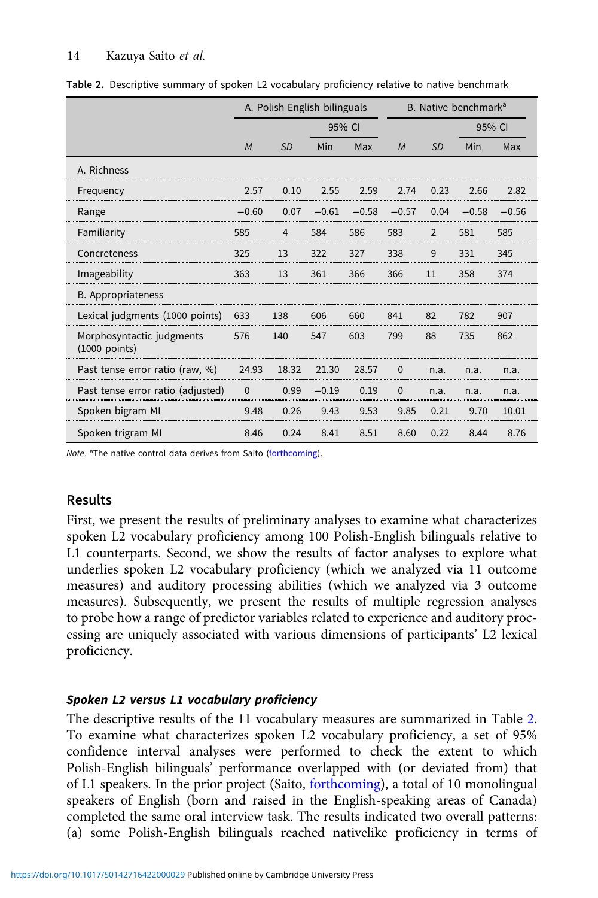|                                              |          | A. Polish-English bilinguals |         |         |             | B. Native benchmark <sup>a</sup> |         |         |  |
|----------------------------------------------|----------|------------------------------|---------|---------|-------------|----------------------------------|---------|---------|--|
|                                              |          | 95% CI                       |         |         |             | 95% CI                           |         |         |  |
|                                              | M        | <b>SD</b>                    | Min     | Max     | M           | <b>SD</b>                        | Min     | Max     |  |
| A. Richness                                  |          |                              |         |         |             |                                  |         |         |  |
| Frequency                                    | 2.57     | 0.10                         | 2.55    | 2.59    | 2.74        | 0.23                             | 2.66    | 2.82    |  |
| Range                                        | $-0.60$  | 0.07                         | $-0.61$ | $-0.58$ | $-0.57$     | 0.04                             | $-0.58$ | $-0.56$ |  |
| Familiarity                                  | 585      | 4                            | 584     | 586     | 583         | $\overline{2}$                   | 581     | 585     |  |
| Concreteness                                 | 325      | 13                           | 322     | 327     | 338         | 9                                | 331     | 345     |  |
| Imageability                                 | 363      | 13                           | 361     | 366     | 366         | 11                               | 358     | 374     |  |
| B. Appropriateness                           |          |                              |         |         |             |                                  |         |         |  |
| Lexical judgments (1000 points)              | 633      | 138                          | 606     | 660     | 841         | 82                               | 782     | 907     |  |
| Morphosyntactic judgments<br>$(1000$ points) | 576      | 140                          | 547     | 603     | 799         | 88                               | 735     | 862     |  |
| Past tense error ratio (raw, %)              | 24.93    | 18.32                        | 21.30   | 28.57   | $\mathbf 0$ | n.a.                             | n.a.    | n.a.    |  |
| Past tense error ratio (adjusted)            | $\Omega$ | 0.99                         | $-0.19$ | 0.19    | $\Omega$    | n.a.                             | n.a.    | n.a.    |  |
| Spoken bigram MI                             | 9.48     | 0.26                         | 9.43    | 9.53    | 9.85        | 0.21                             | 9.70    | 10.01   |  |
| Spoken trigram MI                            | 8.46     | 0.24                         | 8.41    | 8.51    | 8.60        | 0.22                             | 8.44    | 8.76    |  |

Table 2. Descriptive summary of spoken L2 vocabulary proficiency relative to native benchmark

Note. <sup>a</sup>The native control data derives from Saito [\(forthcoming](#page-23-0)).

# Results

First, we present the results of preliminary analyses to examine what characterizes spoken L2 vocabulary proficiency among 100 Polish-English bilinguals relative to L1 counterparts. Second, we show the results of factor analyses to explore what underlies spoken L2 vocabulary proficiency (which we analyzed via 11 outcome measures) and auditory processing abilities (which we analyzed via 3 outcome measures). Subsequently, we present the results of multiple regression analyses to probe how a range of predictor variables related to experience and auditory processing are uniquely associated with various dimensions of participants' L2 lexical proficiency.

# Spoken L2 versus L1 vocabulary proficiency

The descriptive results of the 11 vocabulary measures are summarized in Table 2. To examine what characterizes spoken L2 vocabulary proficiency, a set of 95% confidence interval analyses were performed to check the extent to which Polish-English bilinguals' performance overlapped with (or deviated from) that of L1 speakers. In the prior project (Saito, [forthcoming\)](#page-23-0), a total of 10 monolingual speakers of English (born and raised in the English-speaking areas of Canada) completed the same oral interview task. The results indicated two overall patterns: (a) some Polish-English bilinguals reached nativelike proficiency in terms of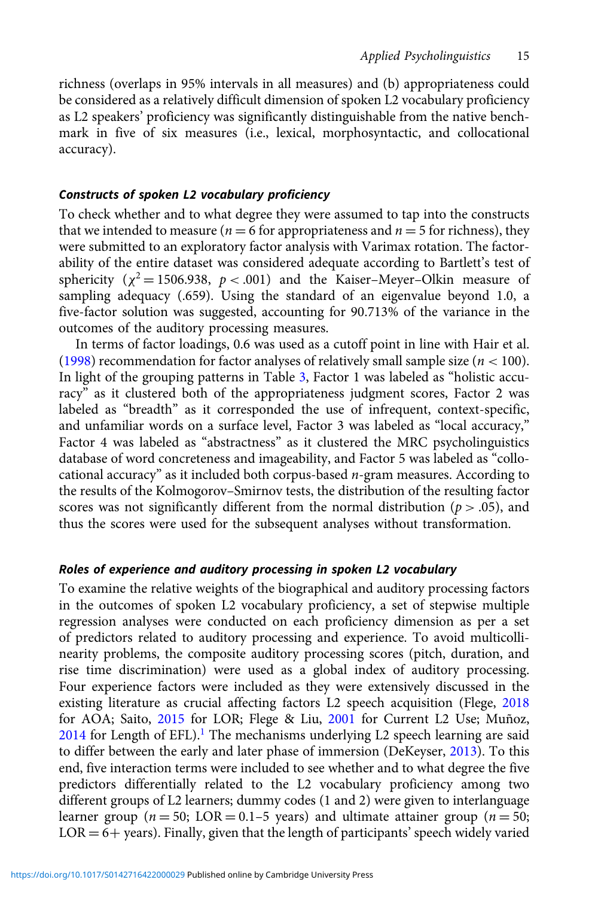richness (overlaps in 95% intervals in all measures) and (b) appropriateness could be considered as a relatively difficult dimension of spoken L2 vocabulary proficiency as L2 speakers' proficiency was significantly distinguishable from the native benchmark in five of six measures (i.e., lexical, morphosyntactic, and collocational accuracy).

## Constructs of spoken L2 vocabulary proficiency

To check whether and to what degree they were assumed to tap into the constructs that we intended to measure ( $n = 6$  for appropriateness and  $n = 5$  for richness), they were submitted to an exploratory factor analysis with Varimax rotation. The factorability of the entire dataset was considered adequate according to Bartlett's test of sphericity ( $\chi^2$  = 1506.938,  $p$  < .001) and the Kaiser–Meyer–Olkin measure of sampling adequacy (.659). Using the standard of an eigenvalue beyond 1.0, a five-factor solution was suggested, accounting for 90.713% of the variance in the outcomes of the auditory processing measures.

In terms of factor loadings, 0.6 was used as a cutoff point in line with Hair et al. [\(1998\)](#page-21-0) recommendation for factor analyses of relatively small sample size ( $n < 100$ ). In light of the grouping patterns in Table [3,](#page-15-0) Factor 1 was labeled as "holistic accuracy" as it clustered both of the appropriateness judgment scores, Factor 2 was labeled as "breadth" as it corresponded the use of infrequent, context-specific, and unfamiliar words on a surface level, Factor 3 was labeled as "local accuracy," Factor 4 was labeled as "abstractness" as it clustered the MRC psycholinguistics database of word concreteness and imageability, and Factor 5 was labeled as "collocational accuracy" as it included both corpus-based  $n$ -gram measures. According to the results of the Kolmogorov–Smirnov tests, the distribution of the resulting factor scores was not significantly different from the normal distribution ( $p > .05$ ), and thus the scores were used for the subsequent analyses without transformation.

## Roles of experience and auditory processing in spoken L2 vocabulary

To examine the relative weights of the biographical and auditory processing factors in the outcomes of spoken L2 vocabulary proficiency, a set of stepwise multiple regression analyses were conducted on each proficiency dimension as per a set of predictors related to auditory processing and experience. To avoid multicollinearity problems, the composite auditory processing scores (pitch, duration, and rise time discrimination) were used as a global index of auditory processing. Four experience factors were included as they were extensively discussed in the existing literature as crucial affecting factors L2 speech acquisition (Flege, [2018](#page-21-0) for AOA; Saito, [2015](#page-23-0) for LOR; Flege & Liu, [2001](#page-21-0) for Current L2 Use; Muñoz,  $2014$  for Length of EFL).<sup>[1](#page-19-0)</sup> The mechanisms underlying L2 speech learning are said to differ between the early and later phase of immersion (DeKeyser, [2013\)](#page-21-0). To this end, five interaction terms were included to see whether and to what degree the five predictors differentially related to the L2 vocabulary proficiency among two different groups of L2 learners; dummy codes (1 and 2) were given to interlanguage learner group ( $n = 50$ ; LOR = 0.1–5 years) and ultimate attainer group ( $n = 50$ ;  $LOR = 6 + \text{years}$ ). Finally, given that the length of participants' speech widely varied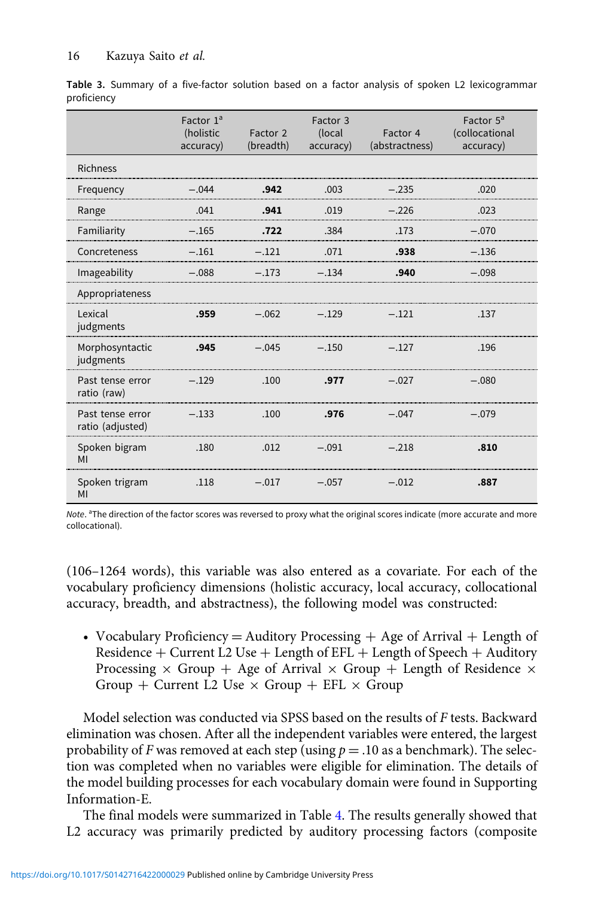|                                      | Factor $1a$<br>(holistic<br>accuracy) | Factor 2<br>(breadth) | Factor 3<br>(local<br>accuracy) | Factor 4<br>(abstractness) | Factor 5 <sup>a</sup><br>(collocational<br>accuracy) |
|--------------------------------------|---------------------------------------|-----------------------|---------------------------------|----------------------------|------------------------------------------------------|
| <b>Richness</b>                      |                                       |                       |                                 |                            |                                                      |
| Frequency                            | $-.044$                               | .942                  | .003                            | $-.235$                    | .020                                                 |
| Range                                | .041                                  | .941                  | .019                            | $-.226$                    | .023                                                 |
| Familiarity                          | $-.165$                               | .722                  | .384                            | .173                       | $-.070$                                              |
| Concreteness                         | $-.161$                               | $-.121$               | .071                            | .938                       | $-.136$                                              |
| Imageability                         | $-.088$                               | $-.173$               | $-.134$                         | .940                       | $-.098$                                              |
| Appropriateness                      |                                       |                       |                                 |                            |                                                      |
| Lexical<br>judgments                 | .959                                  | $-.062$               | $-.129$                         | $-.121$                    | .137                                                 |
| Morphosyntactic<br>judgments         | .945                                  | $-.045$               | $-.150$                         | $-.127$                    | .196                                                 |
| Past tense error<br>ratio (raw)      | $-.129$                               | .100                  | .977                            | $-.027$                    | $-.080$                                              |
| Past tense error<br>ratio (adjusted) | $-.133$                               | .100                  | .976                            | $-.047$                    | $-.079$                                              |
| Spoken bigram<br>MI                  | .180                                  | .012                  | $-.091$                         | $-.218$                    | .810                                                 |
| Spoken trigram<br>MI                 | .118                                  | $-.017$               | $-.057$                         | $-.012$                    | .887                                                 |

<span id="page-15-0"></span>Table 3. Summary of a five-factor solution based on a factor analysis of spoken L2 lexicogrammar proficiency

Note. <sup>a</sup>The direction of the factor scores was reversed to proxy what the original scores indicate (more accurate and more collocational).

(106–1264 words), this variable was also entered as a covariate. For each of the vocabulary proficiency dimensions (holistic accuracy, local accuracy, collocational accuracy, breadth, and abstractness), the following model was constructed:

• Vocabulary Proficiency  $=$  Auditory Processing  $+$  Age of Arrival  $+$  Length of Residence  $+$  Current L2 Use  $+$  Length of EFL  $+$  Length of Speech  $+$  Auditory Processing  $\times$  Group + Age of Arrival  $\times$  Group + Length of Residence  $\times$ Group + Current L2 Use  $\times$  Group + EFL  $\times$  Group

Model selection was conducted via SPSS based on the results of F tests. Backward elimination was chosen. After all the independent variables were entered, the largest probability of F was removed at each step (using  $p = .10$  as a benchmark). The selection was completed when no variables were eligible for elimination. The details of the model building processes for each vocabulary domain were found in Supporting Information-E.

The final models were summarized in Table [4.](#page-16-0) The results generally showed that L2 accuracy was primarily predicted by auditory processing factors (composite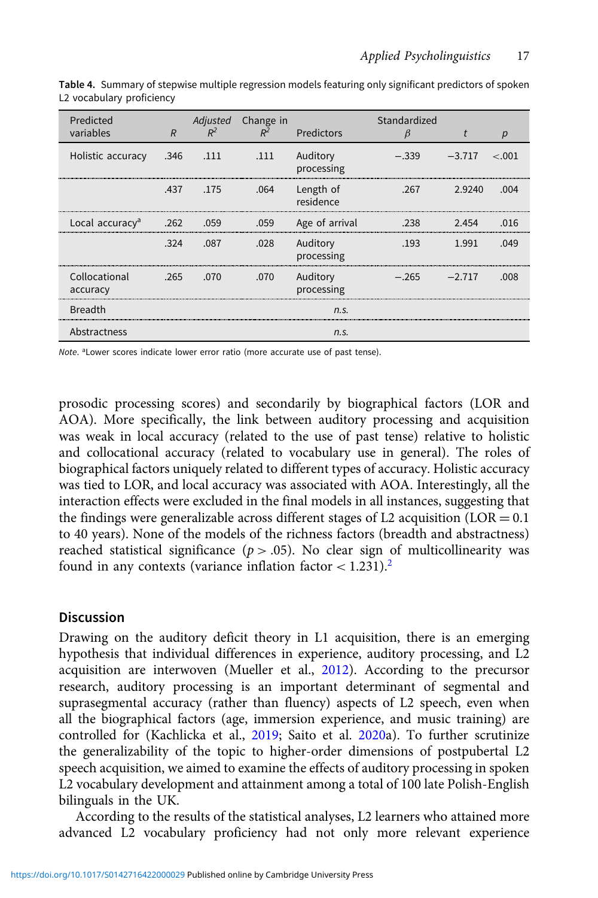| Predicted<br>variables      | $\overline{R}$ | $R^2$     | Adjusted Change in<br>$R^2$ | Predictors             | Standardized<br>β | t        | р        |
|-----------------------------|----------------|-----------|-----------------------------|------------------------|-------------------|----------|----------|
| Holistic accuracy           | .346           | .111      | .111                        | Auditory<br>processing | $-.339$           | $-3.717$ | $~<$ 001 |
|                             |                | .437 .175 | .064                        | Length of<br>residence | .267              | 2.9240   | .004     |
| Local accuracy <sup>a</sup> | .262           | .059      | .059                        | Age of arrival         | .238              | 2.454    | .016     |
|                             | .324           | .087      | .028                        | Auditory<br>processing | .193              | 1.991    | በ49      |
| Collocational<br>accuracy   | .265           | .070      | .070                        | Auditory<br>processing | $-265$            | $-2.717$ | nn       |
| <b>Breadth</b>              |                |           |                             | n.S.                   |                   |          |          |
| Abstractness                |                |           |                             | n.S.                   |                   |          |          |

<span id="page-16-0"></span>Table 4. Summary of stepwise multiple regression models featuring only significant predictors of spoken L2 vocabulary proficiency

Note. <sup>a</sup>Lower scores indicate lower error ratio (more accurate use of past tense).

prosodic processing scores) and secondarily by biographical factors (LOR and AOA). More specifically, the link between auditory processing and acquisition was weak in local accuracy (related to the use of past tense) relative to holistic and collocational accuracy (related to vocabulary use in general). The roles of biographical factors uniquely related to different types of accuracy. Holistic accuracy was tied to LOR, and local accuracy was associated with AOA. Interestingly, all the interaction effects were excluded in the final models in all instances, suggesting that the findings were generalizable across different stages of L2 acquisition  $(LOR = 0.1)$ to 40 years). None of the models of the richness factors (breadth and abstractness) reached statistical significance ( $p > .05$ ). No clear sign of multicollinearity was found in any contexts (variance inflation factor  $< 1.231$  $< 1.231$  $< 1.231$ ).<sup>2</sup>

## Discussion

Drawing on the auditory deficit theory in L1 acquisition, there is an emerging hypothesis that individual differences in experience, auditory processing, and L2 acquisition are interwoven (Mueller et al., [2012](#page-23-0)). According to the precursor research, auditory processing is an important determinant of segmental and suprasegmental accuracy (rather than fluency) aspects of L2 speech, even when all the biographical factors (age, immersion experience, and music training) are controlled for (Kachlicka et al., [2019](#page-22-0); Saito et al. [2020a](#page-24-0)). To further scrutinize the generalizability of the topic to higher-order dimensions of postpubertal L2 speech acquisition, we aimed to examine the effects of auditory processing in spoken L2 vocabulary development and attainment among a total of 100 late Polish-English bilinguals in the UK.

According to the results of the statistical analyses, L2 learners who attained more advanced L2 vocabulary proficiency had not only more relevant experience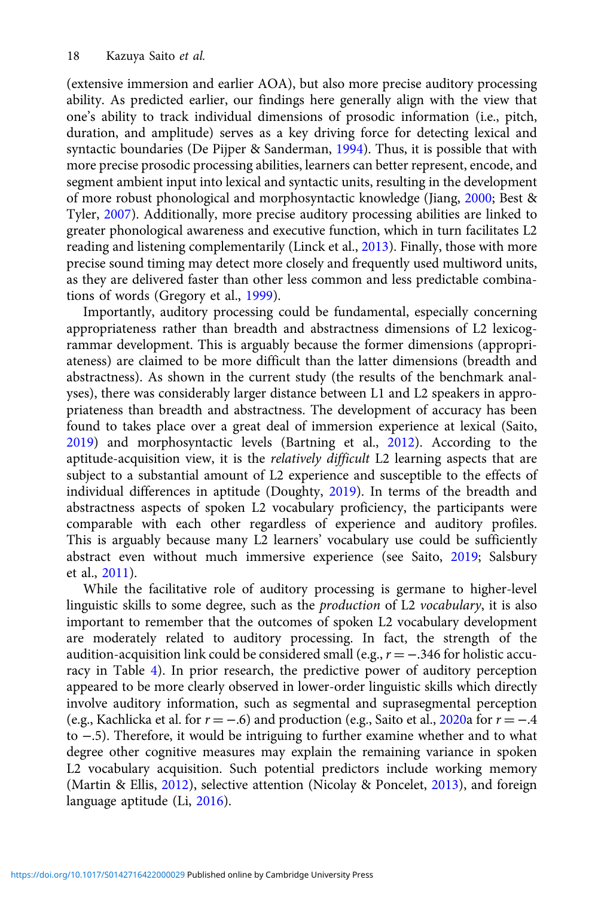(extensive immersion and earlier AOA), but also more precise auditory processing ability. As predicted earlier, our findings here generally align with the view that one's ability to track individual dimensions of prosodic information (i.e., pitch, duration, and amplitude) serves as a key driving force for detecting lexical and syntactic boundaries (De Pijper & Sanderman, [1994](#page-21-0)). Thus, it is possible that with more precise prosodic processing abilities, learners can better represent, encode, and segment ambient input into lexical and syntactic units, resulting in the development of more robust phonological and morphosyntactic knowledge (Jiang, [2000](#page-22-0); Best & Tyler, [2007\)](#page-20-0). Additionally, more precise auditory processing abilities are linked to greater phonological awareness and executive function, which in turn facilitates L2 reading and listening complementarily (Linck et al., [2013\)](#page-23-0). Finally, those with more precise sound timing may detect more closely and frequently used multiword units, as they are delivered faster than other less common and less predictable combinations of words (Gregory et al., [1999](#page-21-0)).

Importantly, auditory processing could be fundamental, especially concerning appropriateness rather than breadth and abstractness dimensions of L2 lexicogrammar development. This is arguably because the former dimensions (appropriateness) are claimed to be more difficult than the latter dimensions (breadth and abstractness). As shown in the current study (the results of the benchmark analyses), there was considerably larger distance between L1 and L2 speakers in appropriateness than breadth and abstractness. The development of accuracy has been found to takes place over a great deal of immersion experience at lexical (Saito, [2019\)](#page-23-0) and morphosyntactic levels (Bartning et al., [2012\)](#page-20-0). According to the aptitude-acquisition view, it is the *relatively difficult* L2 learning aspects that are subject to a substantial amount of L2 experience and susceptible to the effects of individual differences in aptitude (Doughty, [2019](#page-21-0)). In terms of the breadth and abstractness aspects of spoken L2 vocabulary proficiency, the participants were comparable with each other regardless of experience and auditory profiles. This is arguably because many L2 learners' vocabulary use could be sufficiently abstract even without much immersive experience (see Saito, [2019](#page-23-0); Salsbury et al., [2011](#page-24-0)).

While the facilitative role of auditory processing is germane to higher-level linguistic skills to some degree, such as the production of L2 vocabulary, it is also important to remember that the outcomes of spoken L2 vocabulary development are moderately related to auditory processing. In fact, the strength of the audition-acquisition link could be considered small (e.g.,  $r = -.346$  for holistic accuracy in Table [4\)](#page-16-0). In prior research, the predictive power of auditory perception appeared to be more clearly observed in lower-order linguistic skills which directly involve auditory information, such as segmental and suprasegmental perception (e.g., Kachlicka et al. for  $r = -.6$ ) and production (e.g., Saito et al., [2020](#page-24-0)a for  $r = -.4$ to −.5). Therefore, it would be intriguing to further examine whether and to what degree other cognitive measures may explain the remaining variance in spoken L2 vocabulary acquisition. Such potential predictors include working memory (Martin & Ellis, [2012](#page-23-0)), selective attention (Nicolay & Poncelet, [2013](#page-23-0)), and foreign language aptitude (Li, [2016](#page-23-0)).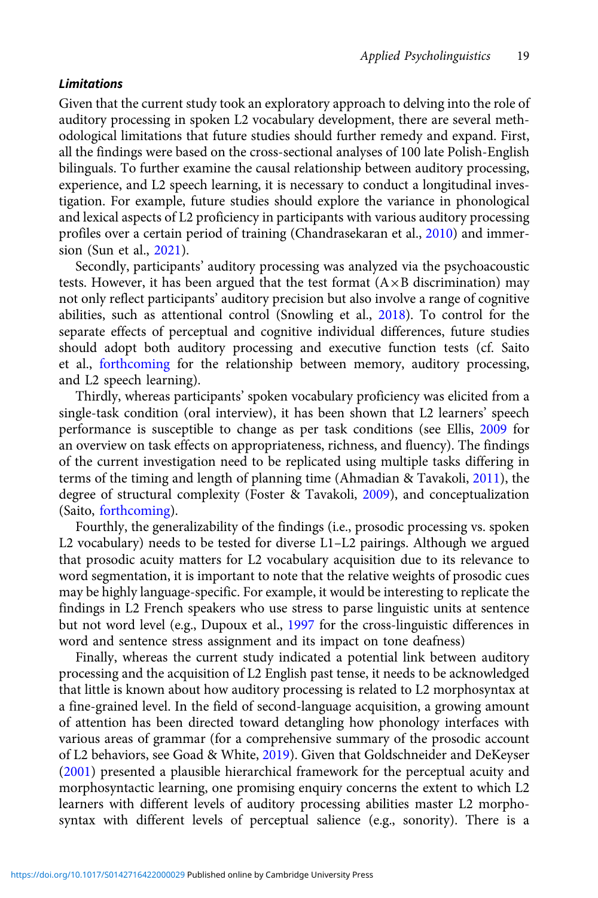#### Limitations

Given that the current study took an exploratory approach to delving into the role of auditory processing in spoken L2 vocabulary development, there are several methodological limitations that future studies should further remedy and expand. First, all the findings were based on the cross-sectional analyses of 100 late Polish-English bilinguals. To further examine the causal relationship between auditory processing, experience, and L2 speech learning, it is necessary to conduct a longitudinal investigation. For example, future studies should explore the variance in phonological and lexical aspects of L2 proficiency in participants with various auditory processing profiles over a certain period of training (Chandrasekaran et al., [2010](#page-20-0)) and immersion (Sun et al., [2021\)](#page-24-0).

Secondly, participants' auditory processing was analyzed via the psychoacoustic tests. However, it has been argued that the test format  $(A \times B)$  discrimination) may not only reflect participants' auditory precision but also involve a range of cognitive abilities, such as attentional control (Snowling et al., [2018\)](#page-24-0). To control for the separate effects of perceptual and cognitive individual differences, future studies should adopt both auditory processing and executive function tests (cf. Saito et al., [forthcoming](#page-23-0) for the relationship between memory, auditory processing, and L2 speech learning).

Thirdly, whereas participants' spoken vocabulary proficiency was elicited from a single-task condition (oral interview), it has been shown that L2 learners' speech performance is susceptible to change as per task conditions (see Ellis, [2009](#page-21-0) for an overview on task effects on appropriateness, richness, and fluency). The findings of the current investigation need to be replicated using multiple tasks differing in terms of the timing and length of planning time (Ahmadian & Tavakoli, [2011](#page-20-0)), the degree of structural complexity (Foster & Tavakoli, [2009\)](#page-21-0), and conceptualization (Saito, [forthcoming\)](#page-23-0).

Fourthly, the generalizability of the findings (i.e., prosodic processing vs. spoken L2 vocabulary) needs to be tested for diverse L1–L2 pairings. Although we argued that prosodic acuity matters for L2 vocabulary acquisition due to its relevance to word segmentation, it is important to note that the relative weights of prosodic cues may be highly language-specific. For example, it would be interesting to replicate the findings in L2 French speakers who use stress to parse linguistic units at sentence but not word level (e.g., Dupoux et al., [1997](#page-21-0) for the cross-linguistic differences in word and sentence stress assignment and its impact on tone deafness)

Finally, whereas the current study indicated a potential link between auditory processing and the acquisition of L2 English past tense, it needs to be acknowledged that little is known about how auditory processing is related to L2 morphosyntax at a fine-grained level. In the field of second-language acquisition, a growing amount of attention has been directed toward detangling how phonology interfaces with various areas of grammar (for a comprehensive summary of the prosodic account of L2 behaviors, see Goad & White, [2019](#page-21-0)). Given that Goldschneider and DeKeyser [\(2001\)](#page-21-0) presented a plausible hierarchical framework for the perceptual acuity and morphosyntactic learning, one promising enquiry concerns the extent to which L2 learners with different levels of auditory processing abilities master L2 morphosyntax with different levels of perceptual salience (e.g., sonority). There is a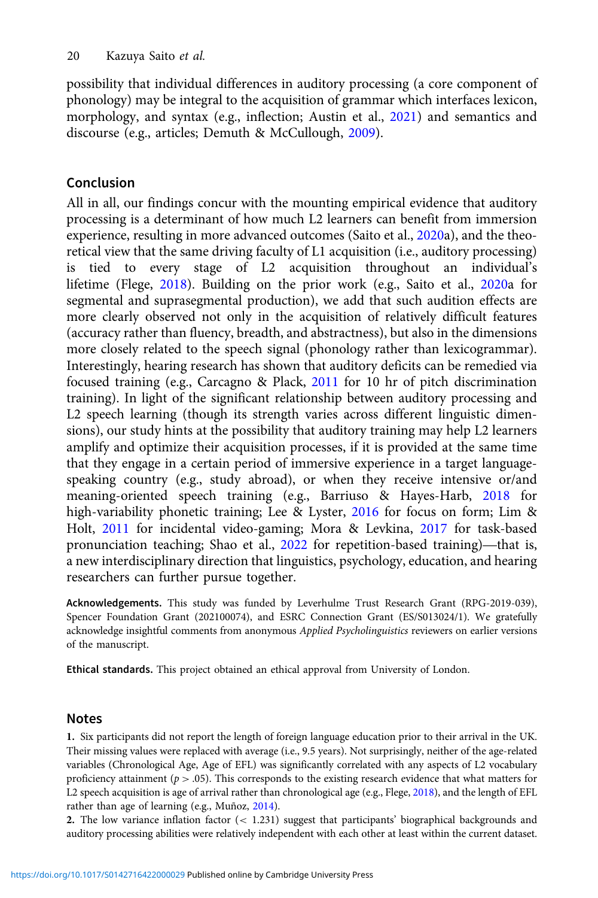<span id="page-19-0"></span>possibility that individual differences in auditory processing (a core component of phonology) may be integral to the acquisition of grammar which interfaces lexicon, morphology, and syntax (e.g., inflection; Austin et al., [2021](#page-20-0)) and semantics and discourse (e.g., articles; Demuth & McCullough, [2009](#page-21-0)).

# Conclusion

All in all, our findings concur with the mounting empirical evidence that auditory processing is a determinant of how much L2 learners can benefit from immersion experience, resulting in more advanced outcomes (Saito et al., [2020a](#page-24-0)), and the theoretical view that the same driving faculty of L1 acquisition (i.e., auditory processing) is tied to every stage of L2 acquisition throughout an individual's lifetime (Flege, [2018](#page-21-0)). Building on the prior work (e.g., Saito et al., [2020a](#page-24-0) for segmental and suprasegmental production), we add that such audition effects are more clearly observed not only in the acquisition of relatively difficult features (accuracy rather than fluency, breadth, and abstractness), but also in the dimensions more closely related to the speech signal (phonology rather than lexicogrammar). Interestingly, hearing research has shown that auditory deficits can be remedied via focused training (e.g., Carcagno & Plack, [2011](#page-20-0) for 10 hr of pitch discrimination training). In light of the significant relationship between auditory processing and L2 speech learning (though its strength varies across different linguistic dimensions), our study hints at the possibility that auditory training may help L2 learners amplify and optimize their acquisition processes, if it is provided at the same time that they engage in a certain period of immersive experience in a target languagespeaking country (e.g., study abroad), or when they receive intensive or/and meaning-oriented speech training (e.g., Barriuso & Hayes-Harb, [2018](#page-20-0) for high-variability phonetic training; Lee & Lyster, [2016](#page-23-0) for focus on form; Lim & Holt, [2011](#page-23-0) for incidental video-gaming; Mora & Levkina, [2017](#page-23-0) for task-based pronunciation teaching; Shao et al., 2022 for repetition-based training)—that is, speaking country (e.g., study abroad), or when they receive intensive or/and<br>meaning-oriented speech training (e.g., Barriuso & Hayes-Harb, 2018 for<br>high-variability phonetic training; Lee & Lyster, 2016 for focus on form; a new interdisciplinary direction that linguistics, psychology, education, and hearing researchers can further pursue together.

Acknowledgements. This study was funded by Leverhulme Trust Research Grant (RPG-2019-039), Spencer Foundation Grant (202100074), and ESRC Connection Grant (ES/S013024/1). We gratefully acknowledge insightful comments from anonymous Applied Psycholinguistics reviewers on earlier versions of the manuscript.

Ethical standards. This project obtained an ethical approval from University of London.

## Notes

1. Six participants did not report the length of foreign language education prior to their arrival in the UK. Their missing values were replaced with average (i.e., 9.5 years). Not surprisingly, neither of the age-related variables (Chronological Age, Age of EFL) was significantly correlated with any aspects of L2 vocabulary proficiency attainment ( $p > .05$ ). This corresponds to the existing research evidence that what matters for L2 speech acquisition is age of arrival rather than chronological age (e.g., Flege, [2018\)](#page-21-0), and the length of EFL rather than age of learning (e.g., Muñoz, [2014\)](#page-23-0).

2. The low variance inflation factor (< 1.231) suggest that participants' biographical backgrounds and auditory processing abilities were relatively independent with each other at least within the current dataset.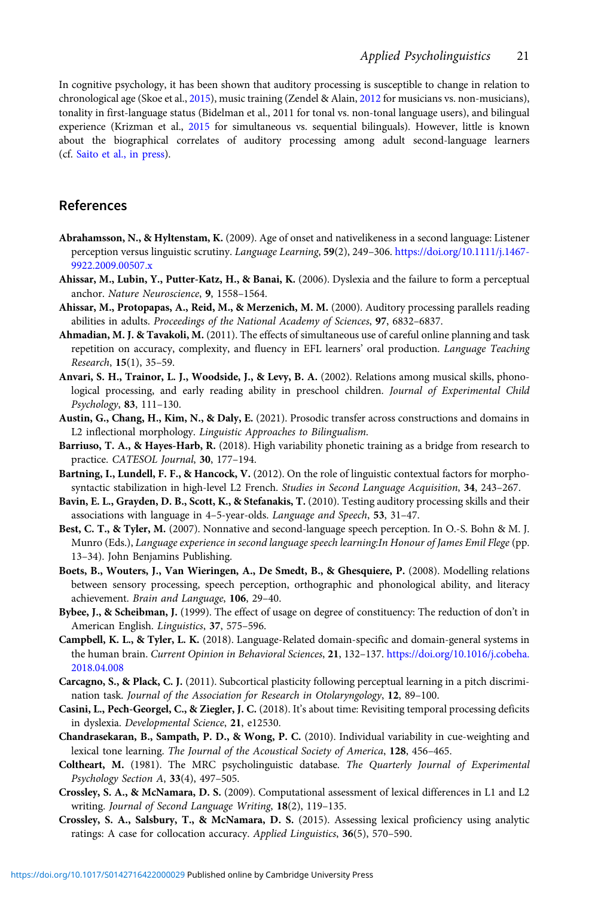<span id="page-20-0"></span>In cognitive psychology, it has been shown that auditory processing is susceptible to change in relation to chronological age (Skoe et al., [2015](#page-24-0)), music training (Zendel & Alain, [2012](#page-25-0) for musicians vs. non-musicians), tonality in first-language status (Bidelman et al., 2011 for tonal vs. non-tonal language users), and bilingual experience (Krizman et al., [2015](#page-22-0) for simultaneous vs. sequential bilinguals). However, little is known about the biographical correlates of auditory processing among adult second-language learners (cf. [Saito et al., in press\)](#page-23-0).

# References

- Abrahamsson, N., & Hyltenstam, K. (2009). Age of onset and nativelikeness in a second language: Listener perception versus linguistic scrutiny. Language Learning, 59(2), 249-306. [https://doi.org/10.1111/j.1467-](https://doi.org/10.1111/j.1467-9922.2009.00507.x) [9922.2009.00507.x](https://doi.org/10.1111/j.1467-9922.2009.00507.x)
- Ahissar, M., Lubin, Y., Putter-Katz, H., & Banai, K. (2006). Dyslexia and the failure to form a perceptual anchor. Nature Neuroscience, 9, 1558–1564.
- Ahissar, M., Protopapas, A., Reid, M., & Merzenich, M. M. (2000). Auditory processing parallels reading abilities in adults. Proceedings of the National Academy of Sciences, 97, 6832–6837.
- Ahmadian, M. J. & Tavakoli, M. (2011). The effects of simultaneous use of careful online planning and task repetition on accuracy, complexity, and fluency in EFL learners' oral production. Language Teaching Research, 15(1), 35–59.
- Anvari, S. H., Trainor, L. J., Woodside, J., & Levy, B. A. (2002). Relations among musical skills, phonological processing, and early reading ability in preschool children. Journal of Experimental Child Psychology, 83, 111–130.
- Austin, G., Chang, H., Kim, N., & Daly, E. (2021). Prosodic transfer across constructions and domains in L2 inflectional morphology. Linguistic Approaches to Bilingualism.
- Barriuso, T. A., & Hayes-Harb, R. (2018). High variability phonetic training as a bridge from research to practice. CATESOL Journal, 30, 177-194.
- Bartning, I., Lundell, F. F., & Hancock, V. (2012). On the role of linguistic contextual factors for morphosyntactic stabilization in high-level L2 French. Studies in Second Language Acquisition, 34, 243-267.
- Bavin, E. L., Grayden, D. B., Scott, K., & Stefanakis, T. (2010). Testing auditory processing skills and their associations with language in 4–5-year-olds. Language and Speech, 53, 31–47.
- Best, C. T., & Tyler, M. (2007). Nonnative and second-language speech perception. In O.-S. Bohn & M. J. Munro (Eds.), Language experience in second language speech learning:In Honour of James Emil Flege (pp. 13–34). John Benjamins Publishing.
- Boets, B., Wouters, J., Van Wieringen, A., De Smedt, B., & Ghesquiere, P. (2008). Modelling relations between sensory processing, speech perception, orthographic and phonological ability, and literacy achievement. Brain and Language, 106, 29–40.
- Bybee, J., & Scheibman, J. (1999). The effect of usage on degree of constituency: The reduction of don't in American English. Linguistics, 37, 575–596.
- Campbell, K. L., & Tyler, L. K. (2018). Language-Related domain-specific and domain-general systems in the human brain. Current Opinion in Behavioral Sciences, 21, 132-137. [https://doi.org/10.1016/j.cobeha.](https://doi.org/10.1016/j.cobeha.2018.04.008) [2018.04.008](https://doi.org/10.1016/j.cobeha.2018.04.008)
- Carcagno, S., & Plack, C. J. (2011). Subcortical plasticity following perceptual learning in a pitch discrimination task. Journal of the Association for Research in Otolaryngology, 12, 89–100.
- Casini, L., Pech-Georgel, C., & Ziegler, J. C. (2018). It's about time: Revisiting temporal processing deficits in dyslexia. Developmental Science, 21, e12530.
- Chandrasekaran, B., Sampath, P. D., & Wong, P. C. (2010). Individual variability in cue-weighting and lexical tone learning. The Journal of the Acoustical Society of America, 128, 456–465.
- Coltheart, M. (1981). The MRC psycholinguistic database. The Quarterly Journal of Experimental Psychology Section A, 33(4), 497–505.
- Crossley, S. A., & McNamara, D. S. (2009). Computational assessment of lexical differences in L1 and L2 writing. Journal of Second Language Writing, 18(2), 119–135.
- Crossley, S. A., Salsbury, T., & McNamara, D. S. (2015). Assessing lexical proficiency using analytic ratings: A case for collocation accuracy. Applied Linguistics, 36(5), 570-590.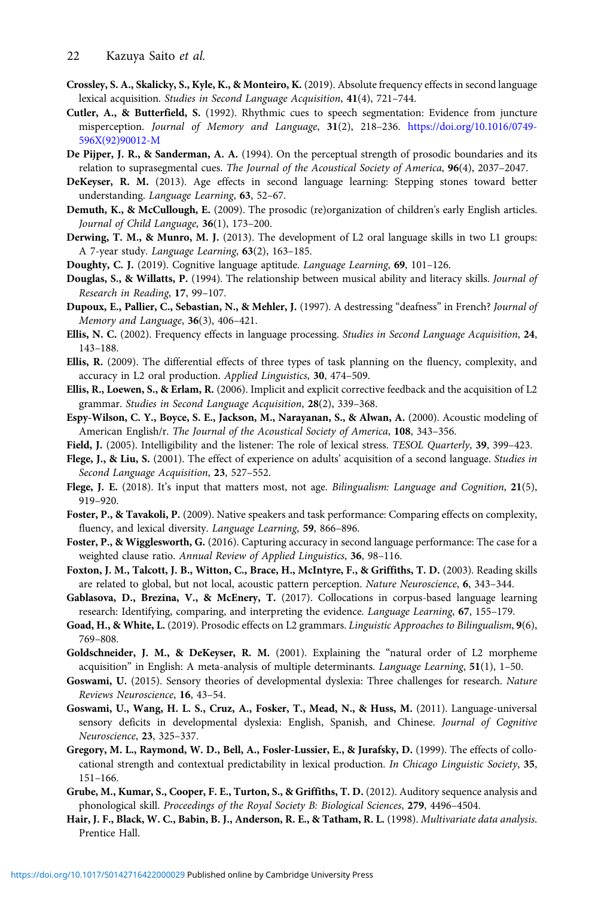- <span id="page-21-0"></span>Crossley, S. A., Skalicky, S., Kyle, K., & Monteiro, K. (2019). Absolute frequency effects in second language lexical acquisition. Studies in Second Language Acquisition, 41(4), 721–744.
- Cutler, A., & Butterfield, S. (1992). Rhythmic cues to speech segmentation: Evidence from juncture misperception. Journal of Memory and Language, 31(2), 218–236. [https://doi.org/10.1016/0749-](https://doi.org/10.1016/0749-596X(92)90012-M) [596X\(92\)90012-M](https://doi.org/10.1016/0749-596X(92)90012-M)
- De Pijper, J. R., & Sanderman, A. A. (1994). On the perceptual strength of prosodic boundaries and its relation to suprasegmental cues. The Journal of the Acoustical Society of America, 96(4), 2037-2047.
- DeKeyser, R. M. (2013). Age effects in second language learning: Stepping stones toward better understanding. Language Learning, 63, 52–67.
- Demuth, K., & McCullough, E. (2009). The prosodic (re)organization of children's early English articles. Journal of Child Language, 36(1), 173–200.
- Derwing, T. M., & Munro, M. J. (2013). The development of L2 oral language skills in two L1 groups: A 7-year study. Language Learning, 63(2), 163–185.
- Doughty, C. J. (2019). Cognitive language aptitude. Language Learning, 69, 101–126.
- Douglas, S., & Willatts, P. (1994). The relationship between musical ability and literacy skills. Journal of Research in Reading, 17, 99–107.
- Dupoux, E., Pallier, C., Sebastian, N., & Mehler, J. (1997). A destressing "deafness" in French? Journal of Memory and Language, 36(3), 406–421.
- Ellis, N. C. (2002). Frequency effects in language processing. Studies in Second Language Acquisition, 24, 143–188.
- Ellis, R. (2009). The differential effects of three types of task planning on the fluency, complexity, and accuracy in L2 oral production. Applied Linguistics, 30, 474–509.
- Ellis, R., Loewen, S., & Erlam, R. (2006). Implicit and explicit corrective feedback and the acquisition of L2 grammar. Studies in Second Language Acquisition, 28(2), 339–368.
- Espy-Wilson, C. Y., Boyce, S. E., Jackson, M., Narayanan, S., & Alwan, A. (2000). Acoustic modeling of American English/r. The Journal of the Acoustical Society of America, 108, 343–356.
- Field, J. (2005). Intelligibility and the listener: The role of lexical stress. TESOL Quarterly, 39, 399–423.
- Flege, J., & Liu, S. (2001). The effect of experience on adults' acquisition of a second language. Studies in Second Language Acquisition, 23, 527–552.
- Flege, J. E. (2018). It's input that matters most, not age. Bilingualism: Language and Cognition, 21(5), 919–920.
- Foster, P., & Tavakoli, P. (2009). Native speakers and task performance: Comparing effects on complexity, fluency, and lexical diversity. Language Learning, 59, 866–896.
- Foster, P., & Wigglesworth, G. (2016). Capturing accuracy in second language performance: The case for a weighted clause ratio. Annual Review of Applied Linguistics, 36, 98–116.
- Foxton, J. M., Talcott, J. B., Witton, C., Brace, H., McIntyre, F., & Griffiths, T. D. (2003). Reading skills are related to global, but not local, acoustic pattern perception. Nature Neuroscience, 6, 343–344.
- Gablasova, D., Brezina, V., & McEnery, T. (2017). Collocations in corpus-based language learning research: Identifying, comparing, and interpreting the evidence. Language Learning, 67, 155–179.
- Goad, H., & White, L. (2019). Prosodic effects on L2 grammars. Linguistic Approaches to Bilingualism, 9(6), 769–808.
- Goldschneider, J. M., & DeKeyser, R. M. (2001). Explaining the "natural order of L2 morpheme acquisition" in English: A meta-analysis of multiple determinants. Language Learning, 51(1), 1–50.
- Goswami, U. (2015). Sensory theories of developmental dyslexia: Three challenges for research. Nature Reviews Neuroscience, 16, 43–54.
- Goswami, U., Wang, H. L. S., Cruz, A., Fosker, T., Mead, N., & Huss, M. (2011). Language-universal sensory deficits in developmental dyslexia: English, Spanish, and Chinese. Journal of Cognitive Neuroscience, 23, 325–337.
- Gregory, M. L., Raymond, W. D., Bell, A., Fosler-Lussier, E., & Jurafsky, D. (1999). The effects of collocational strength and contextual predictability in lexical production. In Chicago Linguistic Society, 35, 151–166.
- Grube, M., Kumar, S., Cooper, F. E., Turton, S., & Griffiths, T. D. (2012). Auditory sequence analysis and phonological skill. Proceedings of the Royal Society B: Biological Sciences, 279, 4496–4504.
- Hair, J. F., Black, W. C., Babin, B. J., Anderson, R. E., & Tatham, R. L. (1998). Multivariate data analysis. Prentice Hall.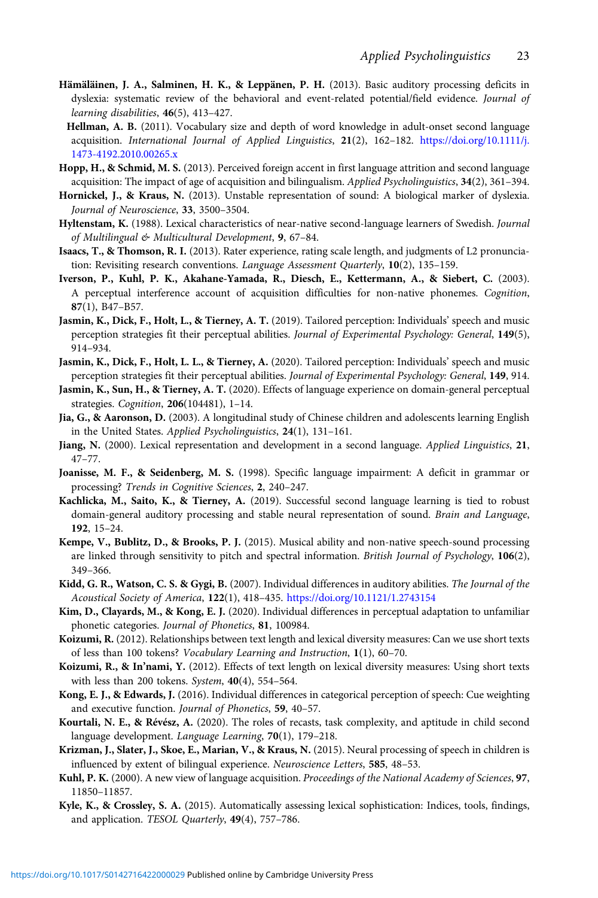- <span id="page-22-0"></span>Hämäläinen, J. A., Salminen, H. K., & Leppänen, P. H. (2013). Basic auditory processing deficits in dyslexia: systematic review of the behavioral and event-related potential/field evidence. Journal of learning disabilities, 46(5), 413–427.
- Hellman, A. B. (2011). Vocabulary size and depth of word knowledge in adult-onset second language acquisition. International Journal of Applied Linguistics, 21(2), 162–182. [https://doi.org/10.1111/j.](https://doi.org/10.1111/j.1473-4192.2010.00265.x) [1473-4192.2010.00265.x](https://doi.org/10.1111/j.1473-4192.2010.00265.x)
- Hopp, H., & Schmid, M. S. (2013). Perceived foreign accent in first language attrition and second language acquisition: The impact of age of acquisition and bilingualism. Applied Psycholinguistics, 34(2), 361–394.
- Hornickel, J., & Kraus, N. (2013). Unstable representation of sound: A biological marker of dyslexia. Journal of Neuroscience, 33, 3500–3504.
- Hyltenstam, K. (1988). Lexical characteristics of near-native second-language learners of Swedish. Journal of Multilingual & Multicultural Development, 9, 67–84.
- Isaacs, T., & Thomson, R. I. (2013). Rater experience, rating scale length, and judgments of L2 pronunciation: Revisiting research conventions. Language Assessment Quarterly, 10(2), 135–159.
- Iverson, P., Kuhl, P. K., Akahane-Yamada, R., Diesch, E., Kettermann, A., & Siebert, C. (2003). A perceptual interference account of acquisition difficulties for non-native phonemes. Cognition, 87(1), B47–B57.
- Jasmin, K., Dick, F., Holt, L., & Tierney, A. T. (2019). Tailored perception: Individuals' speech and music perception strategies fit their perceptual abilities. Journal of Experimental Psychology: General, 149(5), 914–934.
- Jasmin, K., Dick, F., Holt, L. L., & Tierney, A. (2020). Tailored perception: Individuals' speech and music perception strategies fit their perceptual abilities. Journal of Experimental Psychology: General, 149, 914.
- Jasmin, K., Sun, H., & Tierney, A. T. (2020). Effects of language experience on domain-general perceptual strategies. Cognition, 206(104481), 1–14.
- Jia, G., & Aaronson, D. (2003). A longitudinal study of Chinese children and adolescents learning English in the United States. Applied Psycholinguistics, 24(1), 131–161.
- Jiang, N. (2000). Lexical representation and development in a second language. Applied Linguistics, 21, 47–77.
- Joanisse, M. F., & Seidenberg, M. S. (1998). Specific language impairment: A deficit in grammar or processing? Trends in Cognitive Sciences, 2, 240–247.
- Kachlicka, M., Saito, K., & Tierney, A. (2019). Successful second language learning is tied to robust domain-general auditory processing and stable neural representation of sound. Brain and Language, 192, 15–24.
- Kempe, V., Bublitz, D., & Brooks, P. J. (2015). Musical ability and non-native speech-sound processing are linked through sensitivity to pitch and spectral information. British Journal of Psychology, 106(2), 349–366.
- Kidd, G. R., Watson, C. S. & Gygi, B. (2007). Individual differences in auditory abilities. The Journal of the Acoustical Society of America, 122(1), 418–435. <https://doi.org/10.1121/1.2743154>
- Kim, D., Clayards, M., & Kong, E. J. (2020). Individual differences in perceptual adaptation to unfamiliar phonetic categories. Journal of Phonetics, 81, 100984.
- Koizumi, R. (2012). Relationships between text length and lexical diversity measures: Can we use short texts of less than 100 tokens? Vocabulary Learning and Instruction, 1(1), 60–70.
- Koizumi, R., & In'nami, Y. (2012). Effects of text length on lexical diversity measures: Using short texts with less than 200 tokens. System, 40(4), 554–564.
- Kong, E. J., & Edwards, J. (2016). Individual differences in categorical perception of speech: Cue weighting and executive function. Journal of Phonetics, 59, 40–57.
- Kourtali, N. E., & Révész, A. (2020). The roles of recasts, task complexity, and aptitude in child second language development. Language Learning, 70(1), 179-218.
- Krizman, J., Slater, J., Skoe, E., Marian, V., & Kraus, N. (2015). Neural processing of speech in children is influenced by extent of bilingual experience. Neuroscience Letters, 585, 48–53.
- Kuhl, P. K. (2000). A new view of language acquisition. Proceedings of the National Academy of Sciences, 97, 11850–11857.
- Kyle, K., & Crossley, S. A. (2015). Automatically assessing lexical sophistication: Indices, tools, findings, and application. TESOL Quarterly, 49(4), 757–786.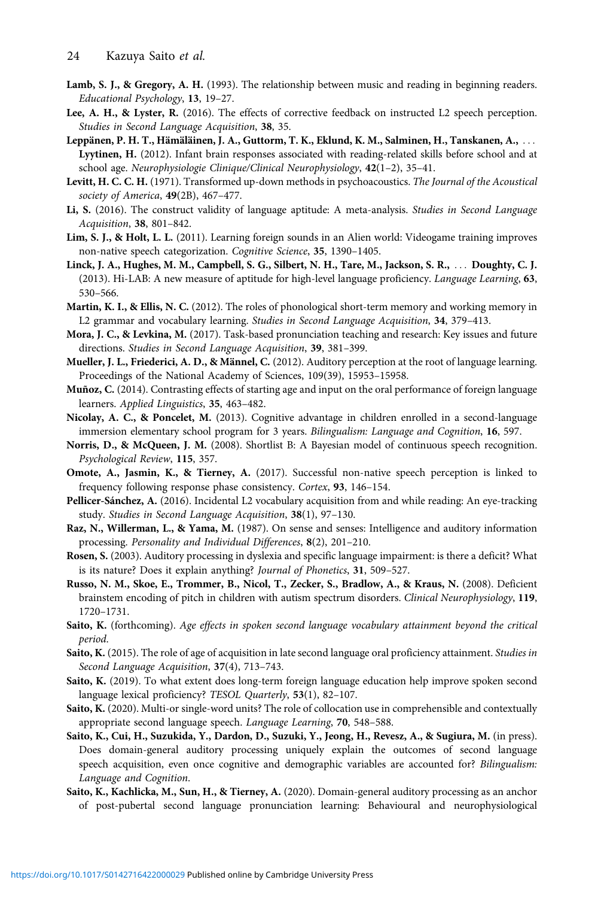- <span id="page-23-0"></span>Lamb, S. J., & Gregory, A. H. (1993). The relationship between music and reading in beginning readers. Educational Psychology, 13, 19–27.
- Lee, A. H., & Lyster, R. (2016). The effects of corrective feedback on instructed L2 speech perception. Studies in Second Language Acquisition, 38, 35.
- Leppänen, P. H. T., Hämäläinen, J. A., Guttorm, T. K., Eklund, K. M., Salminen, H., Tanskanen, A., ... Lyytinen, H. (2012). Infant brain responses associated with reading-related skills before school and at school age. Neurophysiologie Clinique/Clinical Neurophysiology, 42(1–2), 35–41.
- Levitt, H. C. C. H. (1971). Transformed up-down methods in psychoacoustics. The Journal of the Acoustical society of America, 49(2B), 467-477.
- Li, S. (2016). The construct validity of language aptitude: A meta-analysis. Studies in Second Language Acquisition, 38, 801–842.
- Lim, S. J., & Holt, L. L. (2011). Learning foreign sounds in an Alien world: Videogame training improves non-native speech categorization. Cognitive Science, 35, 1390–1405.
- Linck, J. A., Hughes, M. M., Campbell, S. G., Silbert, N. H., Tare, M., Jackson, S. R., ::: Doughty, C. J. (2013). Hi-LAB: A new measure of aptitude for high-level language proficiency. Language Learning, 63, 530–566.
- Martin, K. I., & Ellis, N. C. (2012). The roles of phonological short-term memory and working memory in L2 grammar and vocabulary learning. Studies in Second Language Acquisition, 34, 379–413.
- Mora, J. C., & Levkina, M. (2017). Task-based pronunciation teaching and research: Key issues and future directions. Studies in Second Language Acquisition, 39, 381–399.
- Mueller, J. L., Friederici, A. D., & Männel, C. (2012). Auditory perception at the root of language learning. Proceedings of the National Academy of Sciences, 109(39), 15953–15958.
- Muñoz, C. (2014). Contrasting effects of starting age and input on the oral performance of foreign language learners. Applied Linguistics, 35, 463–482.
- Nicolay, A. C., & Poncelet, M. (2013). Cognitive advantage in children enrolled in a second-language immersion elementary school program for 3 years. Bilingualism: Language and Cognition, 16, 597.
- Norris, D., & McQueen, J. M. (2008). Shortlist B: A Bayesian model of continuous speech recognition. Psychological Review, 115, 357.
- Omote, A., Jasmin, K., & Tierney, A. (2017). Successful non-native speech perception is linked to frequency following response phase consistency. Cortex, 93, 146–154.
- Pellicer-Sánchez, A. (2016). Incidental L2 vocabulary acquisition from and while reading: An eye-tracking study. Studies in Second Language Acquisition, 38(1), 97–130.
- Raz, N., Willerman, L., & Yama, M. (1987). On sense and senses: Intelligence and auditory information processing. Personality and Individual Differences, 8(2), 201–210.
- Rosen, S. (2003). Auditory processing in dyslexia and specific language impairment: is there a deficit? What is its nature? Does it explain anything? Journal of Phonetics, 31, 509–527.
- Russo, N. M., Skoe, E., Trommer, B., Nicol, T., Zecker, S., Bradlow, A., & Kraus, N. (2008). Deficient brainstem encoding of pitch in children with autism spectrum disorders. Clinical Neurophysiology, 119, 1720–1731.
- Saito, K. (forthcoming). Age effects in spoken second language vocabulary attainment beyond the critical period.
- Saito, K. (2015). The role of age of acquisition in late second language oral proficiency attainment. Studies in Second Language Acquisition, 37(4), 713–743.
- Saito, K. (2019). To what extent does long-term foreign language education help improve spoken second language lexical proficiency? TESOL Quarterly, 53(1), 82–107.
- Saito, K. (2020). Multi-or single-word units? The role of collocation use in comprehensible and contextually appropriate second language speech. Language Learning, 70, 548–588.
- Saito, K., Cui, H., Suzukida, Y., Dardon, D., Suzuki, Y., Jeong, H., Revesz, A., & Sugiura, M. (in press). Does domain-general auditory processing uniquely explain the outcomes of second language speech acquisition, even once cognitive and demographic variables are accounted for? Bilingualism: Language and Cognition.
- Saito, K., Kachlicka, M., Sun, H., & Tierney, A. (2020). Domain-general auditory processing as an anchor of post-pubertal second language pronunciation learning: Behavioural and neurophysiological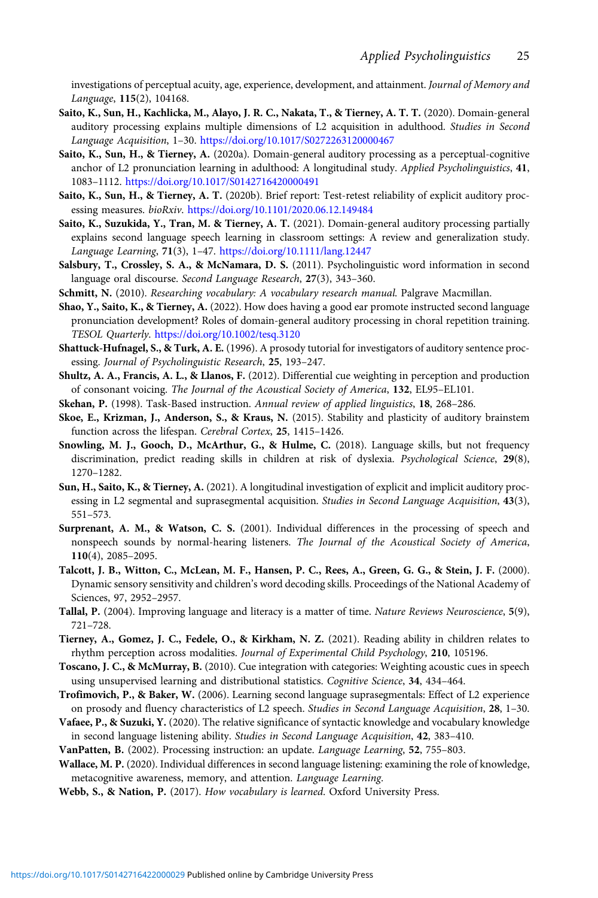<span id="page-24-0"></span>investigations of perceptual acuity, age, experience, development, and attainment. Journal of Memory and Language, 115(2), 104168.

- Saito, K., Sun, H., Kachlicka, M., Alayo, J. R. C., Nakata, T., & Tierney, A. T. T. (2020). Domain-general auditory processing explains multiple dimensions of L2 acquisition in adulthood. Studies in Second Language Acquisition, 1–30. <https://doi.org/10.1017/S0272263120000467>
- Saito, K., Sun, H., & Tierney, A. (2020a). Domain-general auditory processing as a perceptual-cognitive anchor of L2 pronunciation learning in adulthood: A longitudinal study. Applied Psycholinguistics, 41, 1083–1112. <https://doi.org/10.1017/S0142716420000491>
- Saito, K., Sun, H., & Tierney, A. T. (2020b). Brief report: Test-retest reliability of explicit auditory processing measures. bioRxiv. <https://doi.org/10.1101/2020.06.12.149484>
- Saito, K., Suzukida, Y., Tran, M. & Tierney, A. T. (2021). Domain-general auditory processing partially explains second language speech learning in classroom settings: A review and generalization study. Language Learning, 71(3), 1–47. [https://doi.org/10.1111/lang.12447]( https://doi.org/10.1111/lang.12447)
- Salsbury, T., Crossley, S. A., & McNamara, D. S. (2011). Psycholinguistic word information in second language oral discourse. Second Language Research, 27(3), 343–360.
- Schmitt, N. (2010). Researching vocabulary: A vocabulary research manual. Palgrave Macmillan.
- Shao, Y., Saito, K., & Tierney, A. (2022). How does having a good ear promote instructed second language pronunciation development? Roles of domain-general auditory processing in choral repetition training. TESOL Quarterly. <https://doi.org/10.1002/tesq.3120>
- Shattuck-Hufnagel, S., & Turk, A. E. (1996). A prosody tutorial for investigators of auditory sentence processing. Journal of Psycholinguistic Research, 25, 193–247.
- Shultz, A. A., Francis, A. L., & Llanos, F. (2012). Differential cue weighting in perception and production of consonant voicing. The Journal of the Acoustical Society of America, 132, EL95–EL101.
- Skehan, P. (1998). Task-Based instruction. Annual review of applied linguistics, 18, 268–286.
- Skoe, E., Krizman, J., Anderson, S., & Kraus, N. (2015). Stability and plasticity of auditory brainstem function across the lifespan. Cerebral Cortex, 25, 1415-1426.
- Snowling, M. J., Gooch, D., McArthur, G., & Hulme, C. (2018). Language skills, but not frequency discrimination, predict reading skills in children at risk of dyslexia. Psychological Science, 29(8), 1270–1282.
- Sun, H., Saito, K., & Tierney, A. (2021). A longitudinal investigation of explicit and implicit auditory processing in L2 segmental and suprasegmental acquisition. Studies in Second Language Acquisition, 43(3), 551–573.
- Surprenant, A. M., & Watson, C. S. (2001). Individual differences in the processing of speech and nonspeech sounds by normal-hearing listeners. The Journal of the Acoustical Society of America, 110(4), 2085–2095.
- Talcott, J. B., Witton, C., McLean, M. F., Hansen, P. C., Rees, A., Green, G. G., & Stein, J. F. (2000). Dynamic sensory sensitivity and children's word decoding skills. Proceedings of the National Academy of Sciences, 97, 2952–2957.
- Tallal, P. (2004). Improving language and literacy is a matter of time. Nature Reviews Neuroscience, 5(9), 721–728.
- Tierney, A., Gomez, J. C., Fedele, O., & Kirkham, N. Z. (2021). Reading ability in children relates to rhythm perception across modalities. Journal of Experimental Child Psychology, 210, 105196.
- Toscano, J. C., & McMurray, B. (2010). Cue integration with categories: Weighting acoustic cues in speech using unsupervised learning and distributional statistics. Cognitive Science, 34, 434-464.
- Trofimovich, P., & Baker, W. (2006). Learning second language suprasegmentals: Effect of L2 experience on prosody and fluency characteristics of L2 speech. Studies in Second Language Acquisition, 28, 1–30.
- Vafaee, P., & Suzuki, Y. (2020). The relative significance of syntactic knowledge and vocabulary knowledge in second language listening ability. Studies in Second Language Acquisition, 42, 383-410.
- VanPatten, B. (2002). Processing instruction: an update. Language Learning, 52, 755–803.
- Wallace, M. P. (2020). Individual differences in second language listening: examining the role of knowledge, metacognitive awareness, memory, and attention. Language Learning.
- Webb, S., & Nation, P. (2017). How vocabulary is learned. Oxford University Press.